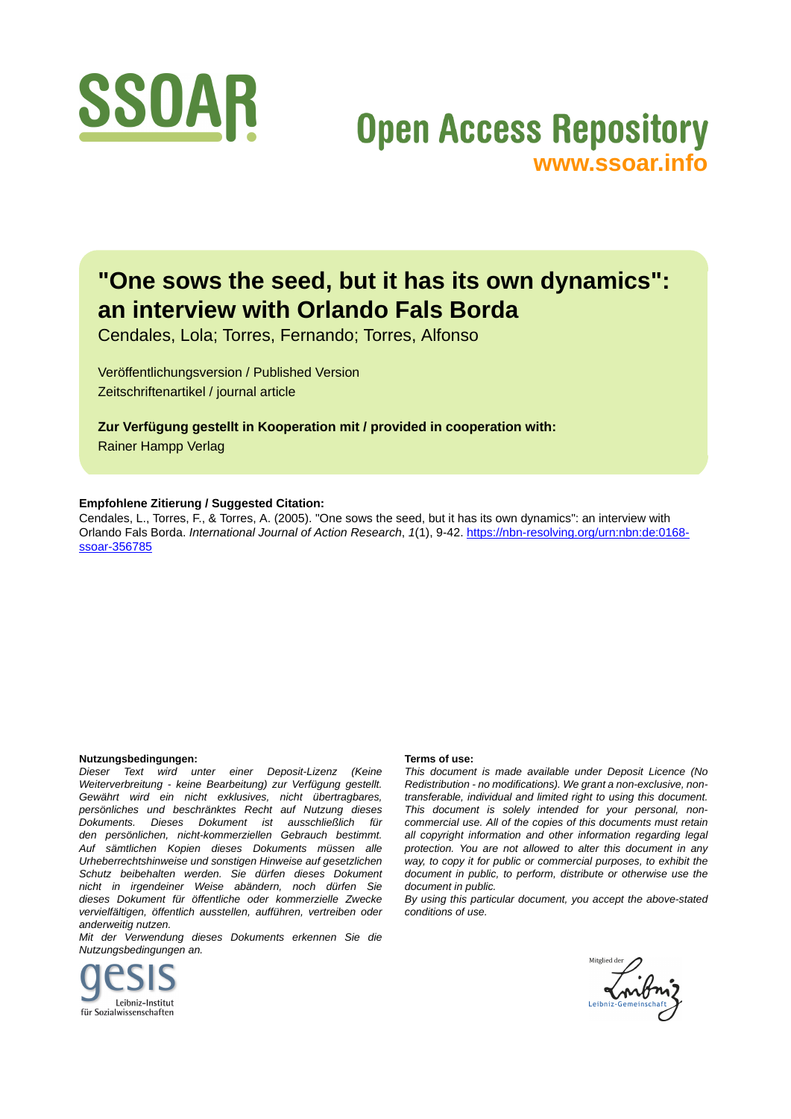

# **Open Access Repository [www.ssoar.info](http://www.ssoar.info)**

## **"One sows the seed, but it has its own dynamics": an interview with Orlando Fals Borda**

Cendales, Lola; Torres, Fernando; Torres, Alfonso

Veröffentlichungsversion / Published Version Zeitschriftenartikel / journal article

**Zur Verfügung gestellt in Kooperation mit / provided in cooperation with:** Rainer Hampp Verlag

#### **Empfohlene Zitierung / Suggested Citation:**

Cendales, L., Torres, F., & Torres, A. (2005). "One sows the seed, but it has its own dynamics": an interview with Orlando Fals Borda. *International Journal of Action Research*, *1*(1), 9-42. [https://nbn-resolving.org/urn:nbn:de:0168](https://nbn-resolving.org/urn:nbn:de:0168-ssoar-356785) [ssoar-356785](https://nbn-resolving.org/urn:nbn:de:0168-ssoar-356785)

#### **Nutzungsbedingungen:**

*Dieser Text wird unter einer Deposit-Lizenz (Keine Weiterverbreitung - keine Bearbeitung) zur Verfügung gestellt. Gewährt wird ein nicht exklusives, nicht übertragbares, persönliches und beschränktes Recht auf Nutzung dieses Dokuments. Dieses Dokument ist ausschließlich für den persönlichen, nicht-kommerziellen Gebrauch bestimmt. Auf sämtlichen Kopien dieses Dokuments müssen alle Urheberrechtshinweise und sonstigen Hinweise auf gesetzlichen Schutz beibehalten werden. Sie dürfen dieses Dokument nicht in irgendeiner Weise abändern, noch dürfen Sie dieses Dokument für öffentliche oder kommerzielle Zwecke vervielfältigen, öffentlich ausstellen, aufführen, vertreiben oder anderweitig nutzen.*

*Mit der Verwendung dieses Dokuments erkennen Sie die Nutzungsbedingungen an.*



#### **Terms of use:**

*This document is made available under Deposit Licence (No Redistribution - no modifications). We grant a non-exclusive, nontransferable, individual and limited right to using this document. This document is solely intended for your personal, noncommercial use. All of the copies of this documents must retain all copyright information and other information regarding legal protection. You are not allowed to alter this document in any way, to copy it for public or commercial purposes, to exhibit the document in public, to perform, distribute or otherwise use the document in public.*

*By using this particular document, you accept the above-stated conditions of use.*

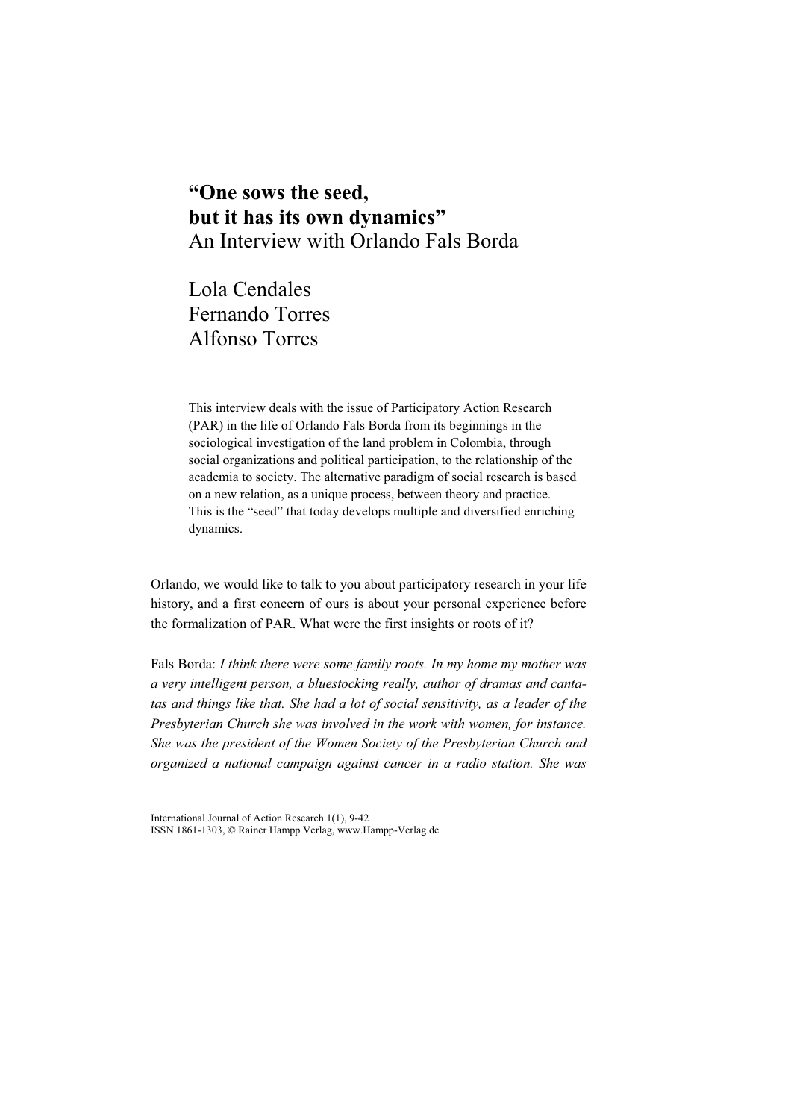### **"One sows the seed, but it has its own dynamics"**  An Interview with Orlando Fals Borda

Lola Cendales Fernando Torres Alfonso Torres

This interview deals with the issue of Participatory Action Research (PAR) in the life of Orlando Fals Borda from its beginnings in the sociological investigation of the land problem in Colombia, through social organizations and political participation, to the relationship of the academia to society. The alternative paradigm of social research is based on a new relation, as a unique process, between theory and practice. This is the "seed" that today develops multiple and diversified enriching dynamics.

Orlando, we would like to talk to you about participatory research in your life history, and a first concern of ours is about your personal experience before the formalization of PAR. What were the first insights or roots of it?

Fals Borda: *I think there were some family roots. In my home my mother was a very intelligent person, a bluestocking really, author of dramas and cantatas and things like that. She had a lot of social sensitivity, as a leader of the Presbyterian Church she was involved in the work with women, for instance. She was the president of the Women Society of the Presbyterian Church and organized a national campaign against cancer in a radio station. She was* 

International Journal of Action Research 1(1), 9-42 ISSN 1861-1303, © Rainer Hampp Verlag, www.Hampp-Verlag.de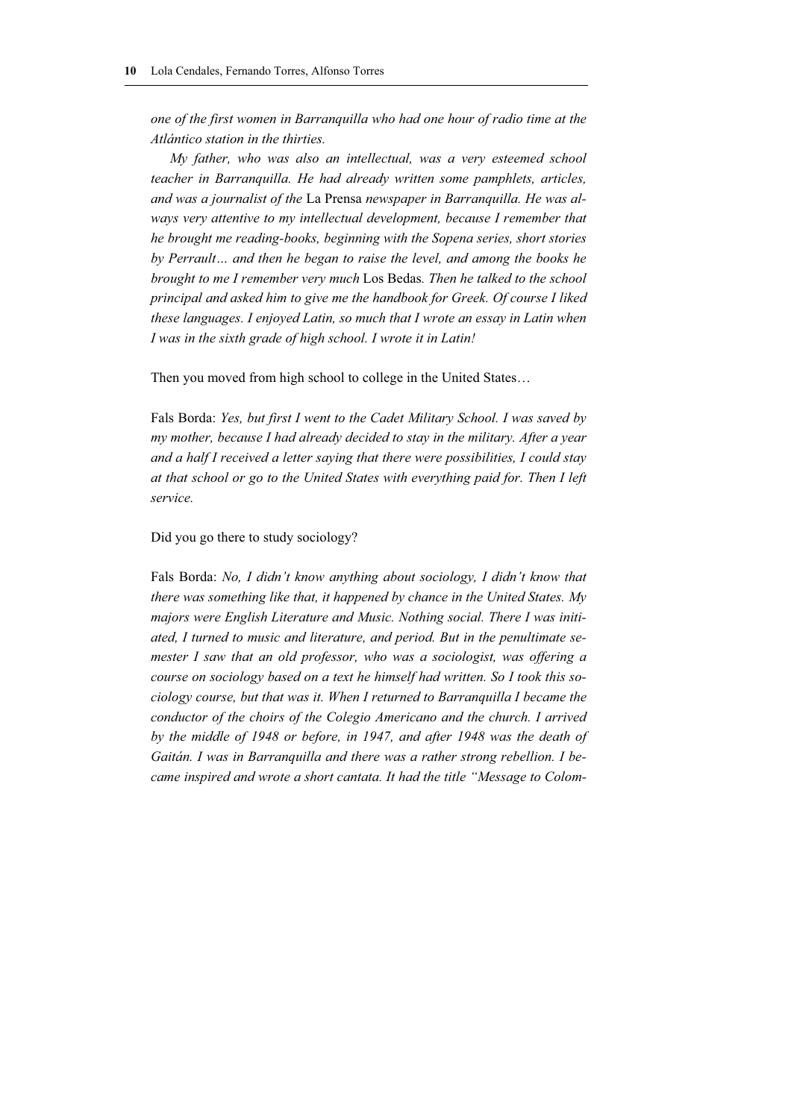*one of the first women in Barranquilla who had one hour of radio time at the Atlántico station in the thirties.* 

*My father, who was also an intellectual, was a very esteemed school teacher in Barranquilla. He had already written some pamphlets, articles, and was a journalist of the* La Prensa *newspaper in Barranquilla. He was always very attentive to my intellectual development, because I remember that he brought me reading-books, beginning with the Sopena series, short stories by Perrault… and then he began to raise the level, and among the books he brought to me I remember very much* Los Bedas*. Then he talked to the school principal and asked him to give me the handbook for Greek. Of course I liked these languages. I enjoyed Latin, so much that I wrote an essay in Latin when I was in the sixth grade of high school. I wrote it in Latin!* 

Then you moved from high school to college in the United States…

Fals Borda: *Yes, but first I went to the Cadet Military School. I was saved by my mother, because I had already decided to stay in the military. After a year and a half I received a letter saying that there were possibilities, I could stay at that school or go to the United States with everything paid for. Then I left service.*

#### Did you go there to study sociology?

Fals Borda: *No, I didn't know anything about sociology, I didn't know that there was something like that, it happened by chance in the United States. My majors were English Literature and Music. Nothing social. There I was initiated, I turned to music and literature, and period. But in the penultimate se*mester I saw that an old professor, who was a sociologist, was offering a *course on sociology based on a text he himself had written. So I took this sociology course, but that was it. When I returned to Barranquilla I became the conductor of the choirs of the Colegio Americano and the church. I arrived by the middle of 1948 or before, in 1947, and after 1948 was the death of Gaitán. I was in Barranquilla and there was a rather strong rebellion. I became inspired and wrote a short cantata. It had the title "Message to Colom-*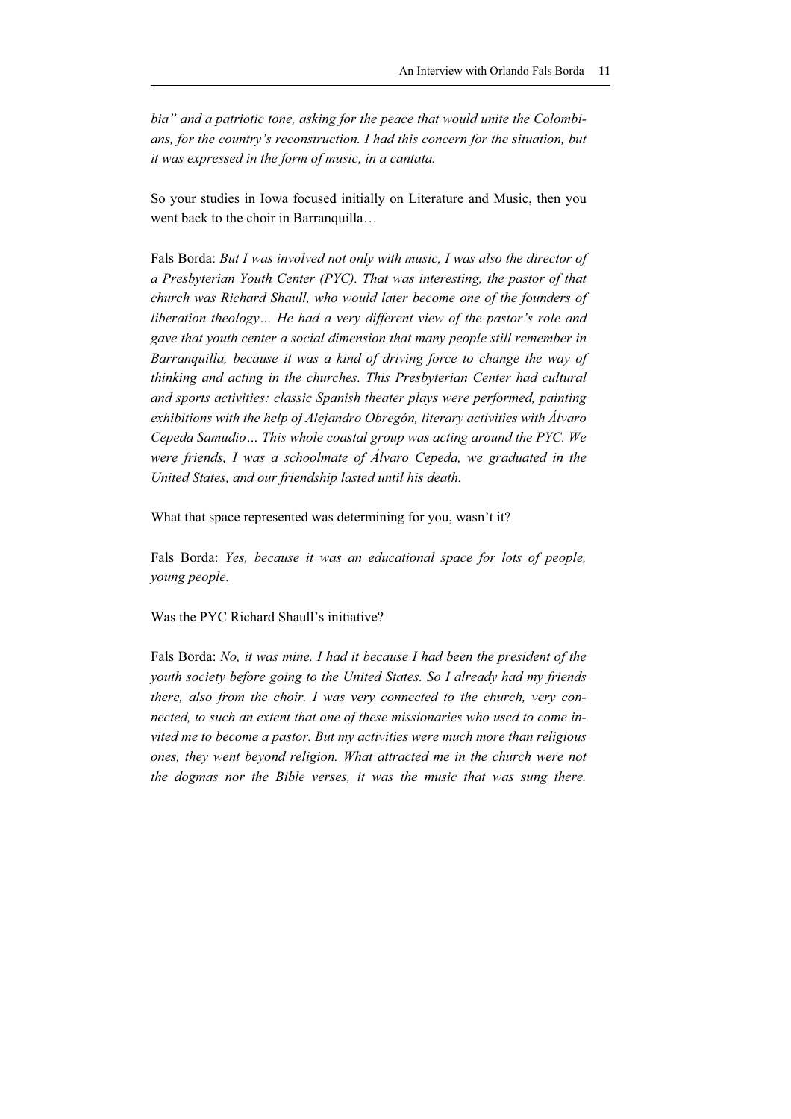*bia" and a patriotic tone, asking for the peace that would unite the Colombians, for the country's reconstruction. I had this concern for the situation, but it was expressed in the form of music, in a cantata.* 

So your studies in Iowa focused initially on Literature and Music, then you went back to the choir in Barranquilla...

Fals Borda: *But I was involved not only with music, I was also the director of a Presbyterian Youth Center (PYC). That was interesting, the pastor of that church was Richard Shaull, who would later become one of the founders of liberation theology… He had a very different view of the pastor's role and gave that youth center a social dimension that many people still remember in Barranquilla, because it was a kind of driving force to change the way of thinking and acting in the churches. This Presbyterian Center had cultural and sports activities: classic Spanish theater plays were performed, painting exhibitions with the help of Alejandro Obregón, literary activities with Álvaro Cepeda Samudio… This whole coastal group was acting around the PYC. We were friends, I was a schoolmate of Álvaro Cepeda, we graduated in the United States, and our friendship lasted until his death.* 

What that space represented was determining for you, wasn't it?

Fals Borda: *Yes, because it was an educational space for lots of people, young people.* 

Was the PYC Richard Shaull's initiative?

Fals Borda: *No, it was mine. I had it because I had been the president of the youth society before going to the United States. So I already had my friends there, also from the choir. I was very connected to the church, very connected, to such an extent that one of these missionaries who used to come invited me to become a pastor. But my activities were much more than religious ones, they went beyond religion. What attracted me in the church were not the dogmas nor the Bible verses, it was the music that was sung there.*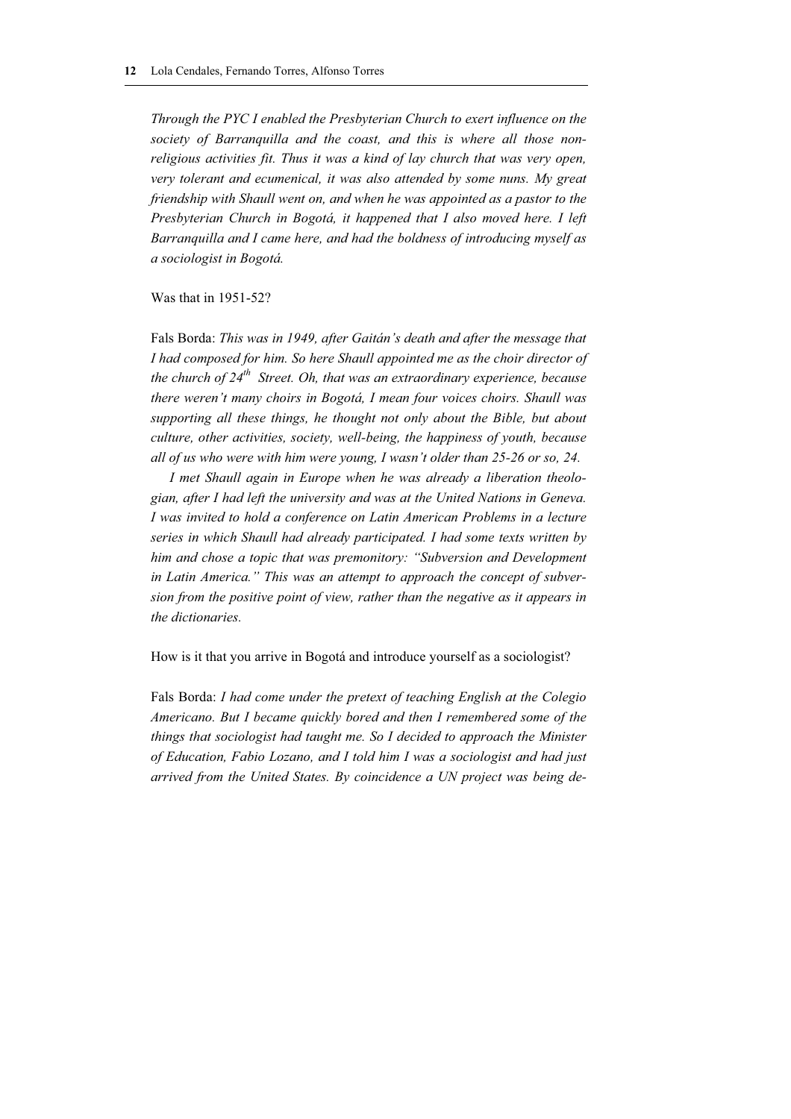*Through the PYC I enabled the Presbyterian Church to exert influence on the society of Barranquilla and the coast, and this is where all those nonreligious activities fit. Thus it was a kind of lay church that was very open, very tolerant and ecumenical, it was also attended by some nuns. My great friendship with Shaull went on, and when he was appointed as a pastor to the Presbyterian Church in Bogotá, it happened that I also moved here. I left Barranquilla and I came here, and had the boldness of introducing myself as a sociologist in Bogotá.* 

Was that in 1951-52?

Fals Borda: *This was in 1949, after Gaitán's death and after the message that I had composed for him. So here Shaull appointed me as the choir director of the church of 24th Street. Oh, that was an extraordinary experience, because there weren't many choirs in Bogotá, I mean four voices choirs. Shaull was supporting all these things, he thought not only about the Bible, but about culture, other activities, society, well-being, the happiness of youth, because all of us who were with him were young, I wasn't older than 25-26 or so, 24.* 

*I met Shaull again in Europe when he was already a liberation theologian, after I had left the university and was at the United Nations in Geneva. I was invited to hold a conference on Latin American Problems in a lecture series in which Shaull had already participated. I had some texts written by him and chose a topic that was premonitory: "Subversion and Development in Latin America." This was an attempt to approach the concept of subversion from the positive point of view, rather than the negative as it appears in the dictionaries.* 

How is it that you arrive in Bogotá and introduce yourself as a sociologist?

Fals Borda: *I had come under the pretext of teaching English at the Colegio Americano. But I became quickly bored and then I remembered some of the things that sociologist had taught me. So I decided to approach the Minister of Education, Fabio Lozano, and I told him I was a sociologist and had just arrived from the United States. By coincidence a UN project was being de-*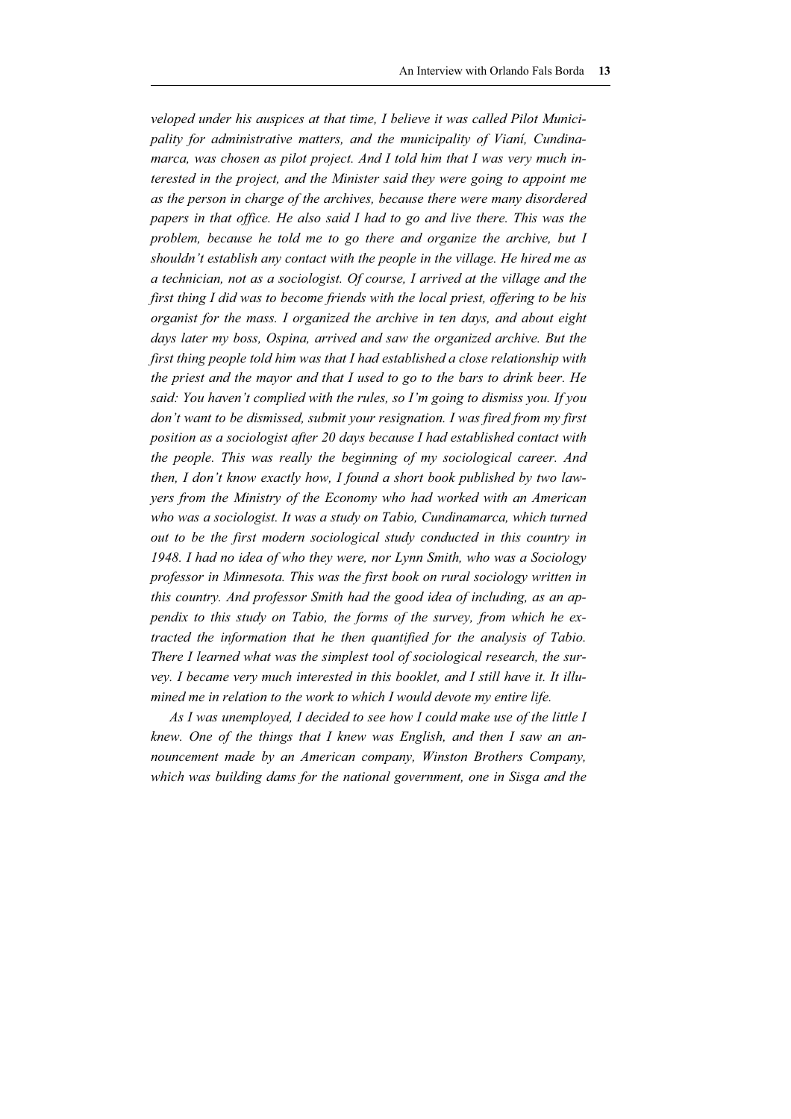*veloped under his auspices at that time, I believe it was called Pilot Municipality for administrative matters, and the municipality of Vianí, Cundinamarca, was chosen as pilot project. And I told him that I was very much interested in the project, and the Minister said they were going to appoint me as the person in charge of the archives, because there were many disordered papers in that office. He also said I had to go and live there. This was the problem, because he told me to go there and organize the archive, but I shouldn't establish any contact with the people in the village. He hired me as a technician, not as a sociologist. Of course, I arrived at the village and the first thing I did was to become friends with the local priest, offering to be his organist for the mass. I organized the archive in ten days, and about eight days later my boss, Ospina, arrived and saw the organized archive. But the first thing people told him was that I had established a close relationship with the priest and the mayor and that I used to go to the bars to drink beer. He said: You haven't complied with the rules, so I'm going to dismiss you. If you don't want to be dismissed, submit your resignation. I was fired from my first position as a sociologist after 20 days because I had established contact with the people. This was really the beginning of my sociological career. And then, I don't know exactly how, I found a short book published by two lawyers from the Ministry of the Economy who had worked with an American*  who was a sociologist. It was a study on Tabio, Cundinamarca, which turned *out to be the first modern sociological study conducted in this country in 1948. I had no idea of who they were, nor Lynn Smith, who was a Sociology professor in Minnesota. This was the first book on rural sociology written in this country. And professor Smith had the good idea of including, as an appendix to this study on Tabio, the forms of the survey, from which he extracted the information that he then quantified for the analysis of Tabio. There I learned what was the simplest tool of sociological research, the survey. I became very much interested in this booklet, and I still have it. It illumined me in relation to the work to which I would devote my entire life.* 

*As I was unemployed, I decided to see how I could make use of the little I knew. One of the things that I knew was English, and then I saw an announcement made by an American company, Winston Brothers Company, which was building dams for the national government, one in Sisga and the*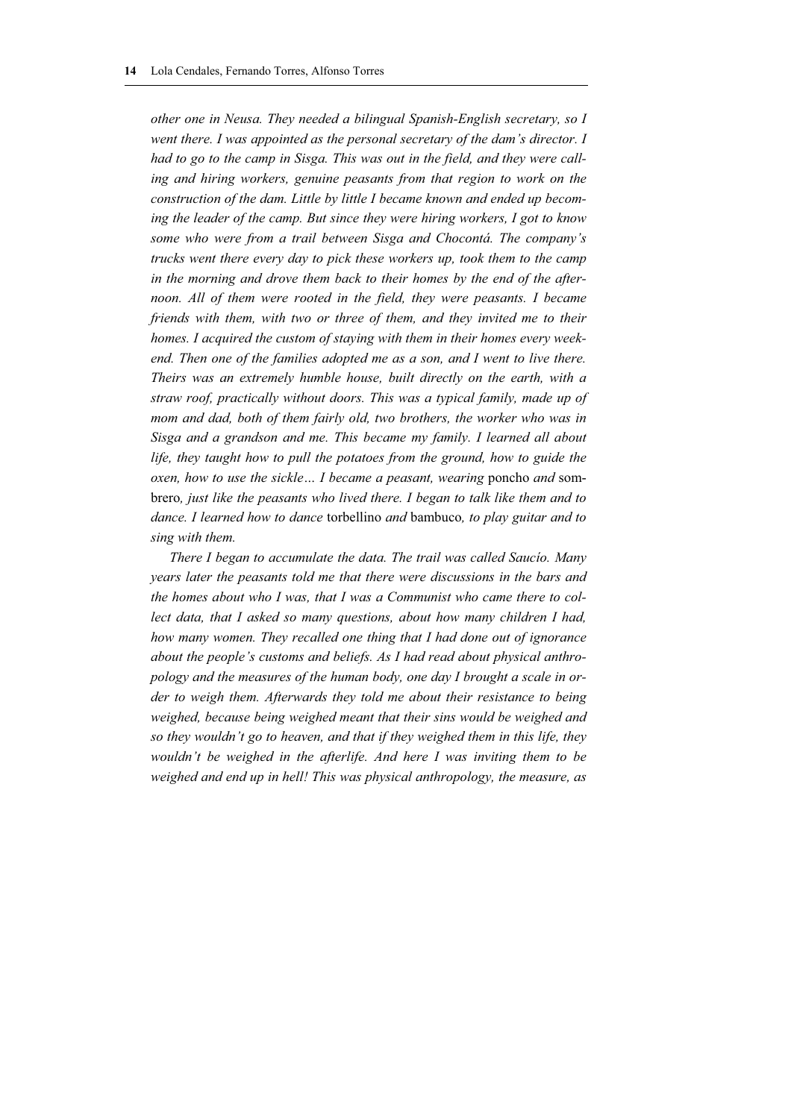*other one in Neusa. They needed a bilingual Spanish-English secretary, so I went there. I was appointed as the personal secretary of the dam's director. I had to go to the camp in Sisga. This was out in the field, and they were calling and hiring workers, genuine peasants from that region to work on the construction of the dam. Little by little I became known and ended up becoming the leader of the camp. But since they were hiring workers, I got to know some who were from a trail between Sisga and Chocontá. The company's trucks went there every day to pick these workers up, took them to the camp in the morning and drove them back to their homes by the end of the afternoon. All of them were rooted in the field, they were peasants. I became friends with them, with two or three of them, and they invited me to their homes. I acquired the custom of staying with them in their homes every weekend. Then one of the families adopted me as a son, and I went to live there. Theirs was an extremely humble house, built directly on the earth, with a straw roof, practically without doors. This was a typical family, made up of mom and dad, both of them fairly old, two brothers, the worker who was in Sisga and a grandson and me. This became my family. I learned all about*  life, they taught how to pull the potatoes from the ground, how to guide the *oxen, how to use the sickle… I became a peasant, wearing* poncho *and* sombrero*, just like the peasants who lived there. I began to talk like them and to dance. I learned how to dance* torbellino *and* bambuco*, to play guitar and to sing with them.* 

*There I began to accumulate the data. The trail was called Saucío. Many years later the peasants told me that there were discussions in the bars and the homes about who I was, that I was a Communist who came there to collect data, that I asked so many questions, about how many children I had, how many women. They recalled one thing that I had done out of ignorance about the people's customs and beliefs. As I had read about physical anthropology and the measures of the human body, one day I brought a scale in order to weigh them. Afterwards they told me about their resistance to being weighed, because being weighed meant that their sins would be weighed and so they wouldn't go to heaven, and that if they weighed them in this life, they wouldn't be weighed in the afterlife. And here I was inviting them to be weighed and end up in hell! This was physical anthropology, the measure, as*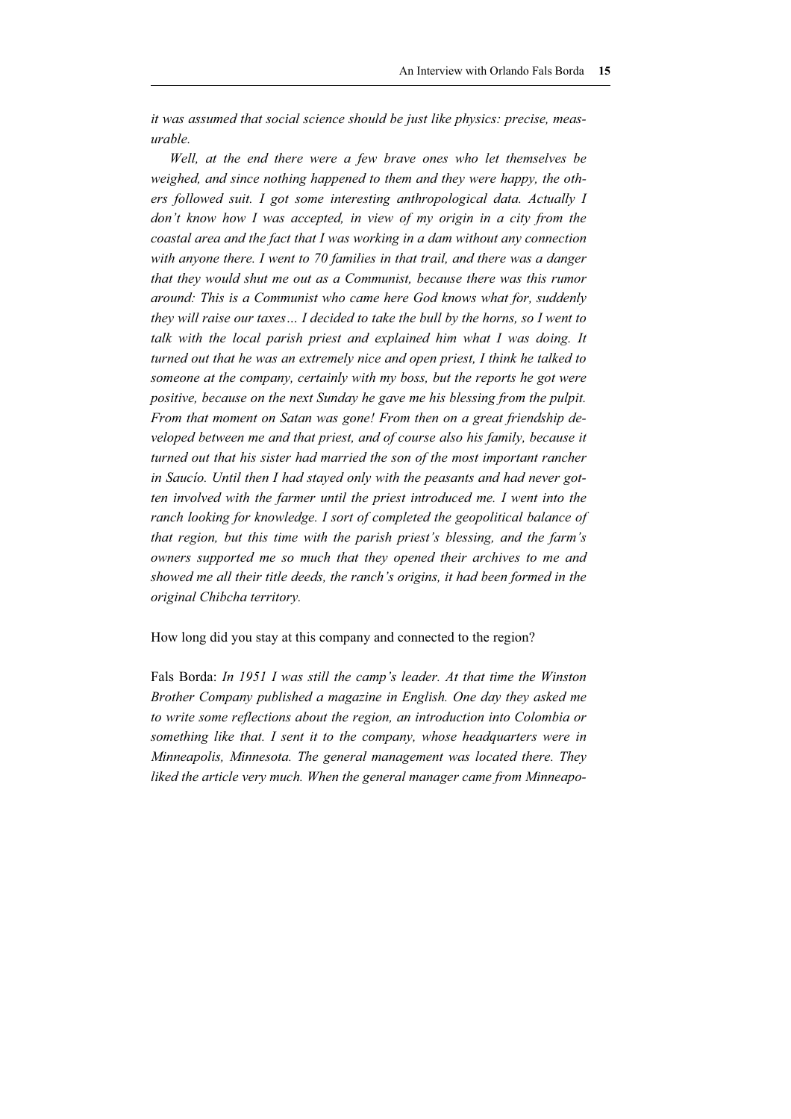*it was assumed that social science should be just like physics: precise, measurable.*

*Well, at the end there were a few brave ones who let themselves be weighed, and since nothing happened to them and they were happy, the others followed suit. I got some interesting anthropological data. Actually I don't know how I was accepted, in view of my origin in a city from the coastal area and the fact that I was working in a dam without any connection*  with anyone there. I went to 70 families in that trail, and there was a danger *that they would shut me out as a Communist, because there was this rumor around: This is a Communist who came here God knows what for, suddenly they will raise our taxes… I decided to take the bull by the horns, so I went to*  talk with the local parish priest and explained him what I was doing. It *turned out that he was an extremely nice and open priest, I think he talked to someone at the company, certainly with my boss, but the reports he got were positive, because on the next Sunday he gave me his blessing from the pulpit. From that moment on Satan was gone! From then on a great friendship developed between me and that priest, and of course also his family, because it turned out that his sister had married the son of the most important rancher in Saucío. Until then I had stayed only with the peasants and had never gotten involved with the farmer until the priest introduced me. I went into the ranch looking for knowledge. I sort of completed the geopolitical balance of that region, but this time with the parish priest's blessing, and the farm's owners supported me so much that they opened their archives to me and showed me all their title deeds, the ranch's origins, it had been formed in the original Chibcha territory.*

How long did you stay at this company and connected to the region?

Fals Borda: *In 1951 I was still the camp's leader. At that time the Winston Brother Company published a magazine in English. One day they asked me to write some reflections about the region, an introduction into Colombia or something like that. I sent it to the company, whose headquarters were in Minneapolis, Minnesota. The general management was located there. They liked the article very much. When the general manager came from Minneapo-*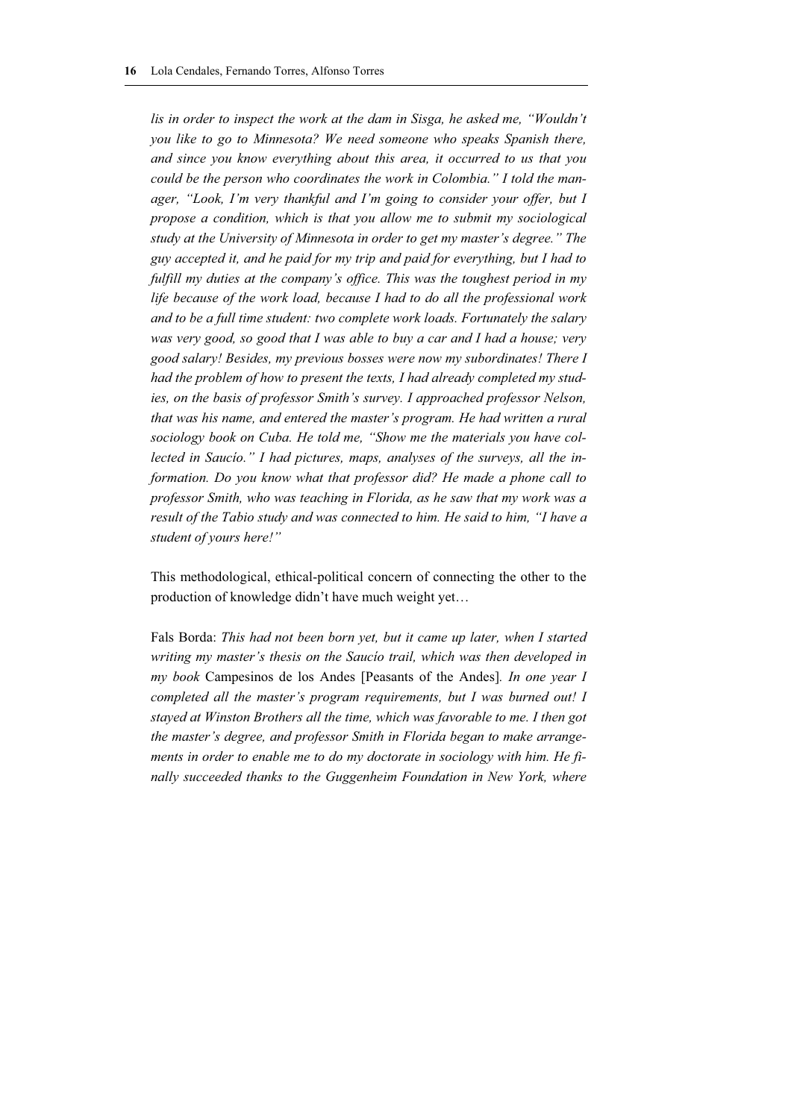lis in order to inspect the work at the dam in Sisga, he asked me, "Wouldn't *you like to go to Minnesota? We need someone who speaks Spanish there, and since you know everything about this area, it occurred to us that you could be the person who coordinates the work in Colombia." I told the manager, "Look, I'm very thankful and I'm going to consider your offer, but I propose a condition, which is that you allow me to submit my sociological study at the University of Minnesota in order to get my master's degree." The guy accepted it, and he paid for my trip and paid for everything, but I had to fulfill my duties at the company's office. This was the toughest period in my life because of the work load, because I had to do all the professional work and to be a full time student: two complete work loads. Fortunately the salary was very good, so good that I was able to buy a car and I had a house; very good salary! Besides, my previous bosses were now my subordinates! There I had the problem of how to present the texts, I had already completed my studies, on the basis of professor Smith's survey. I approached professor Nelson, that was his name, and entered the master's program. He had written a rural sociology book on Cuba. He told me, "Show me the materials you have collected in Saucío." I had pictures, maps, analyses of the surveys, all the information. Do you know what that professor did? He made a phone call to professor Smith, who was teaching in Florida, as he saw that my work was a result of the Tabio study and was connected to him. He said to him, "I have a student of yours here!"* 

This methodological, ethical-political concern of connecting the other to the production of knowledge didn't have much weight yet…

Fals Borda: *This had not been born yet, but it came up later, when I started writing my master's thesis on the Saucío trail, which was then developed in my book* Campesinos de los Andes [Peasants of the Andes]*. In one year I completed all the master's program requirements, but I was burned out! I stayed at Winston Brothers all the time, which was favorable to me. I then got the master's degree, and professor Smith in Florida began to make arrangements in order to enable me to do my doctorate in sociology with him. He finally succeeded thanks to the Guggenheim Foundation in New York, where*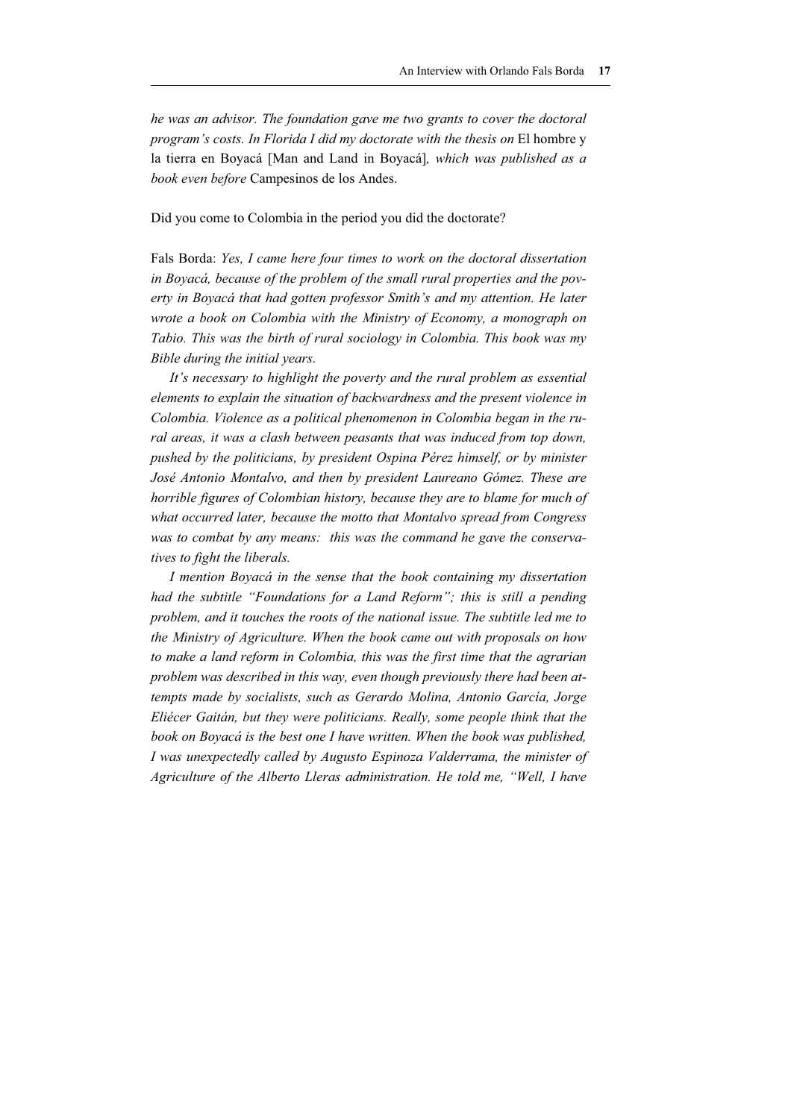*he was an advisor. The foundation gave me two grants to cover the doctoral program's costs. In Florida I did my doctorate with the thesis on* El hombre y la tierra en Boyacá [Man and Land in Boyacá]*, which was published as a book even before* Campesinos de los Andes.

#### Did you come to Colombia in the period you did the doctorate?

Fals Borda: *Yes, I came here four times to work on the doctoral dissertation in Boyacá, because of the problem of the small rural properties and the poverty in Boyacá that had gotten professor Smith's and my attention. He later wrote a book on Colombia with the Ministry of Economy, a monograph on Tabio. This was the birth of rural sociology in Colombia. This book was my Bible during the initial years.* 

*It's necessary to highlight the poverty and the rural problem as essential elements to explain the situation of backwardness and the present violence in Colombia. Violence as a political phenomenon in Colombia began in the rural areas, it was a clash between peasants that was induced from top down, pushed by the politicians, by president Ospina Pérez himself, or by minister José Antonio Montalvo, and then by president Laureano Gómez. These are horrible figures of Colombian history, because they are to blame for much of what occurred later, because the motto that Montalvo spread from Congress was to combat by any means: this was the command he gave the conservatives to fight the liberals.* 

*I mention Boyacá in the sense that the book containing my dissertation had the subtitle "Foundations for a Land Reform"; this is still a pending problem, and it touches the roots of the national issue. The subtitle led me to the Ministry of Agriculture. When the book came out with proposals on how to make a land reform in Colombia, this was the first time that the agrarian problem was described in this way, even though previously there had been attempts made by socialists, such as Gerardo Molina, Antonio García, Jorge Eliécer Gaitán, but they were politicians. Really, some people think that the book on Boyacá is the best one I have written. When the book was published, I was unexpectedly called by Augusto Espinoza Valderrama, the minister of Agriculture of the Alberto Lleras administration. He told me, "Well, I have*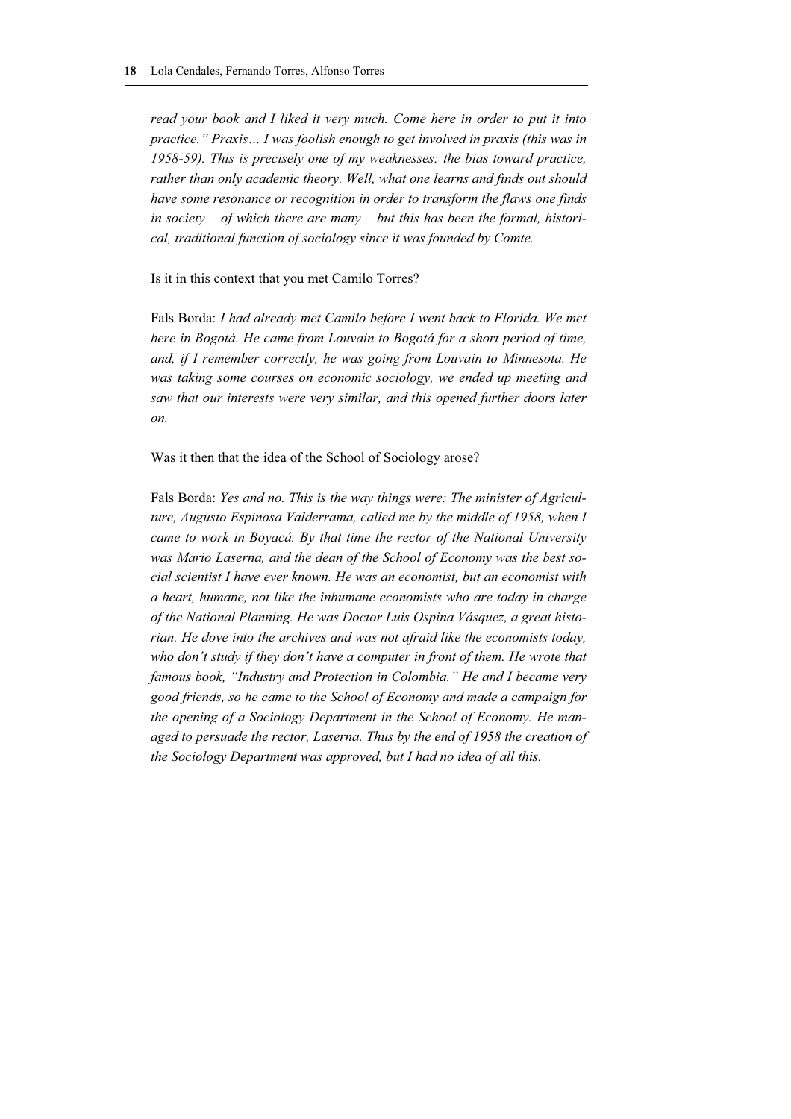*read your book and I liked it very much. Come here in order to put it into practice." Praxis… I was foolish enough to get involved in praxis (this was in 1958-59). This is precisely one of my weaknesses: the bias toward practice, rather than only academic theory. Well, what one learns and finds out should have some resonance or recognition in order to transform the flaws one finds in society – of which there are many – but this has been the formal, historical, traditional function of sociology since it was founded by Comte.* 

Is it in this context that you met Camilo Torres?

Fals Borda: *I had already met Camilo before I went back to Florida. We met here in Bogotá. He came from Louvain to Bogotá for a short period of time, and, if I remember correctly, he was going from Louvain to Minnesota. He was taking some courses on economic sociology, we ended up meeting and saw that our interests were very similar, and this opened further doors later on.*

Was it then that the idea of the School of Sociology arose?

Fals Borda: *Yes and no. This is the way things were: The minister of Agriculture, Augusto Espinosa Valderrama, called me by the middle of 1958, when I came to work in Boyacá. By that time the rector of the National University was Mario Laserna, and the dean of the School of Economy was the best social scientist I have ever known. He was an economist, but an economist with a heart, humane, not like the inhumane economists who are today in charge of the National Planning. He was Doctor Luis Ospina Vásquez, a great historian. He dove into the archives and was not afraid like the economists today, who don't study if they don't have a computer in front of them. He wrote that famous book, "Industry and Protection in Colombia." He and I became very good friends, so he came to the School of Economy and made a campaign for the opening of a Sociology Department in the School of Economy. He managed to persuade the rector, Laserna. Thus by the end of 1958 the creation of the Sociology Department was approved, but I had no idea of all this.*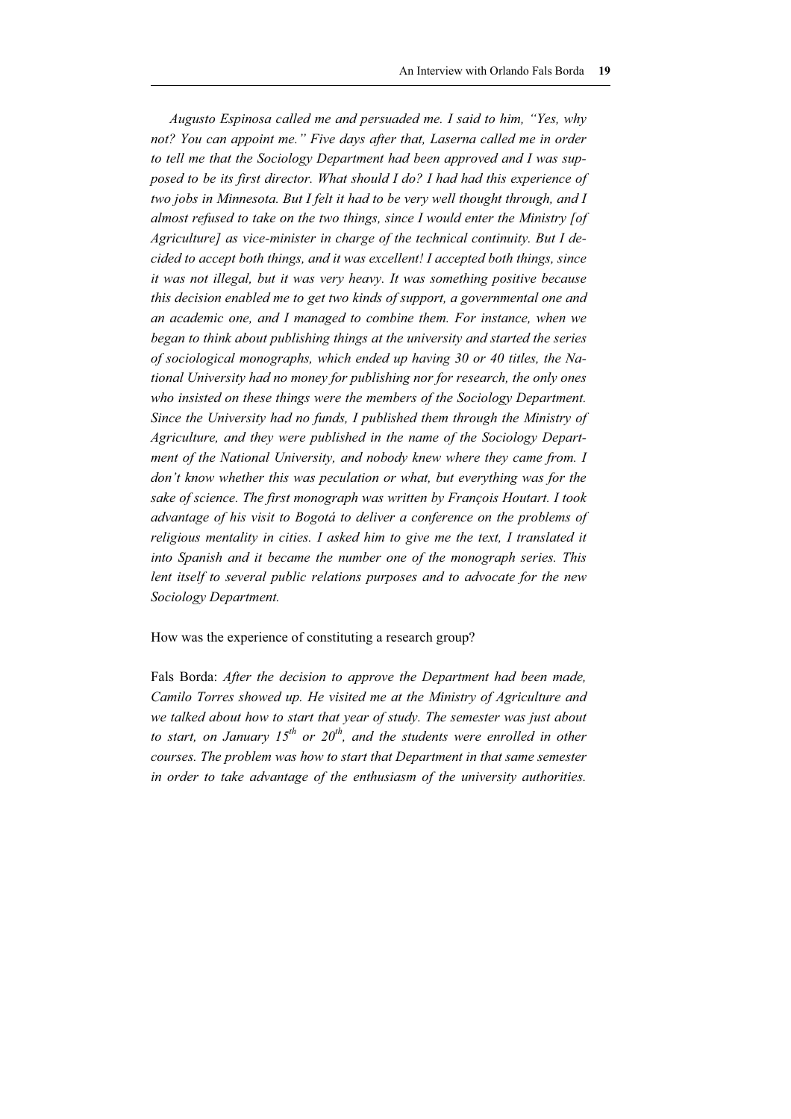*Augusto Espinosa called me and persuaded me. I said to him, "Yes, why*  not? You can appoint me." Five days after that, Laserna called me in order *to tell me that the Sociology Department had been approved and I was supposed to be its first director. What should I do? I had had this experience of two jobs in Minnesota. But I felt it had to be very well thought through, and I almost refused to take on the two things, since I would enter the Ministry [of Agriculture] as vice-minister in charge of the technical continuity. But I decided to accept both things, and it was excellent! I accepted both things, since it was not illegal, but it was very heavy. It was something positive because this decision enabled me to get two kinds of support, a governmental one and an academic one, and I managed to combine them. For instance, when we began to think about publishing things at the university and started the series of sociological monographs, which ended up having 30 or 40 titles, the National University had no money for publishing nor for research, the only ones who insisted on these things were the members of the Sociology Department. Since the University had no funds, I published them through the Ministry of Agriculture, and they were published in the name of the Sociology Department of the National University, and nobody knew where they came from. I don't know whether this was peculation or what, but everything was for the sake of science. The first monograph was written by François Houtart. I took advantage of his visit to Bogotá to deliver a conference on the problems of religious mentality in cities. I asked him to give me the text, I translated it into Spanish and it became the number one of the monograph series. This lent itself to several public relations purposes and to advocate for the new Sociology Department.* 

How was the experience of constituting a research group?

Fals Borda: *After the decision to approve the Department had been made, Camilo Torres showed up. He visited me at the Ministry of Agriculture and we talked about how to start that year of study. The semester was just about to start, on January 15th or 20th, and the students were enrolled in other courses. The problem was how to start that Department in that same semester in order to take advantage of the enthusiasm of the university authorities.*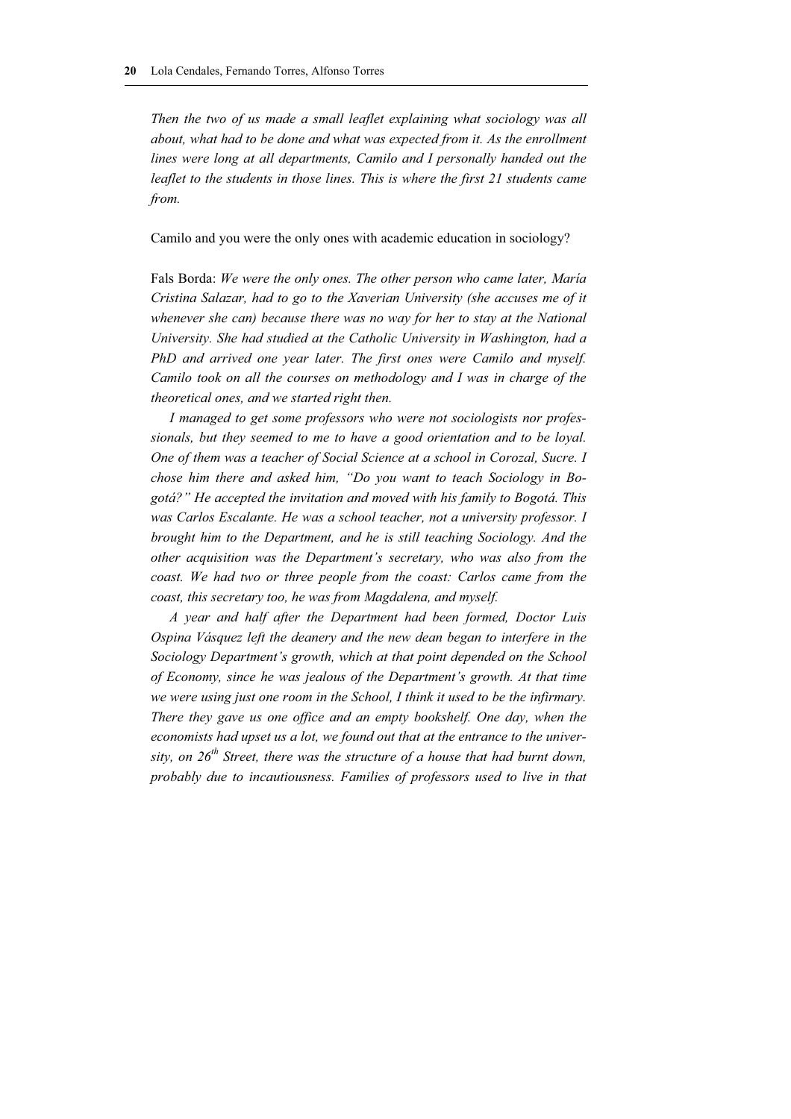*Then the two of us made a small leaflet explaining what sociology was all about, what had to be done and what was expected from it. As the enrollment lines were long at all departments, Camilo and I personally handed out the leaflet to the students in those lines. This is where the first 21 students came from.*

Camilo and you were the only ones with academic education in sociology?

Fals Borda: *We were the only ones. The other person who came later, María Cristina Salazar, had to go to the Xaverian University (she accuses me of it whenever she can) because there was no way for her to stay at the National University. She had studied at the Catholic University in Washington, had a PhD and arrived one year later. The first ones were Camilo and myself. Camilo took on all the courses on methodology and I was in charge of the theoretical ones, and we started right then.* 

*I managed to get some professors who were not sociologists nor professionals, but they seemed to me to have a good orientation and to be loyal. One of them was a teacher of Social Science at a school in Corozal, Sucre. I chose him there and asked him, "Do you want to teach Sociology in Bogotá?" He accepted the invitation and moved with his family to Bogotá. This*  was Carlos Escalante. He was a school teacher, not a university professor. I *brought him to the Department, and he is still teaching Sociology. And the other acquisition was the Department's secretary, who was also from the coast. We had two or three people from the coast: Carlos came from the coast, this secretary too, he was from Magdalena, and myself.* 

*A year and half after the Department had been formed, Doctor Luis Ospina Vásquez left the deanery and the new dean began to interfere in the Sociology Department's growth, which at that point depended on the School of Economy, since he was jealous of the Department's growth. At that time we were using just one room in the School, I think it used to be the infirmary. There they gave us one office and an empty bookshelf. One day, when the economists had upset us a lot, we found out that at the entrance to the university, on 26th Street, there was the structure of a house that had burnt down, probably due to incautiousness. Families of professors used to live in that*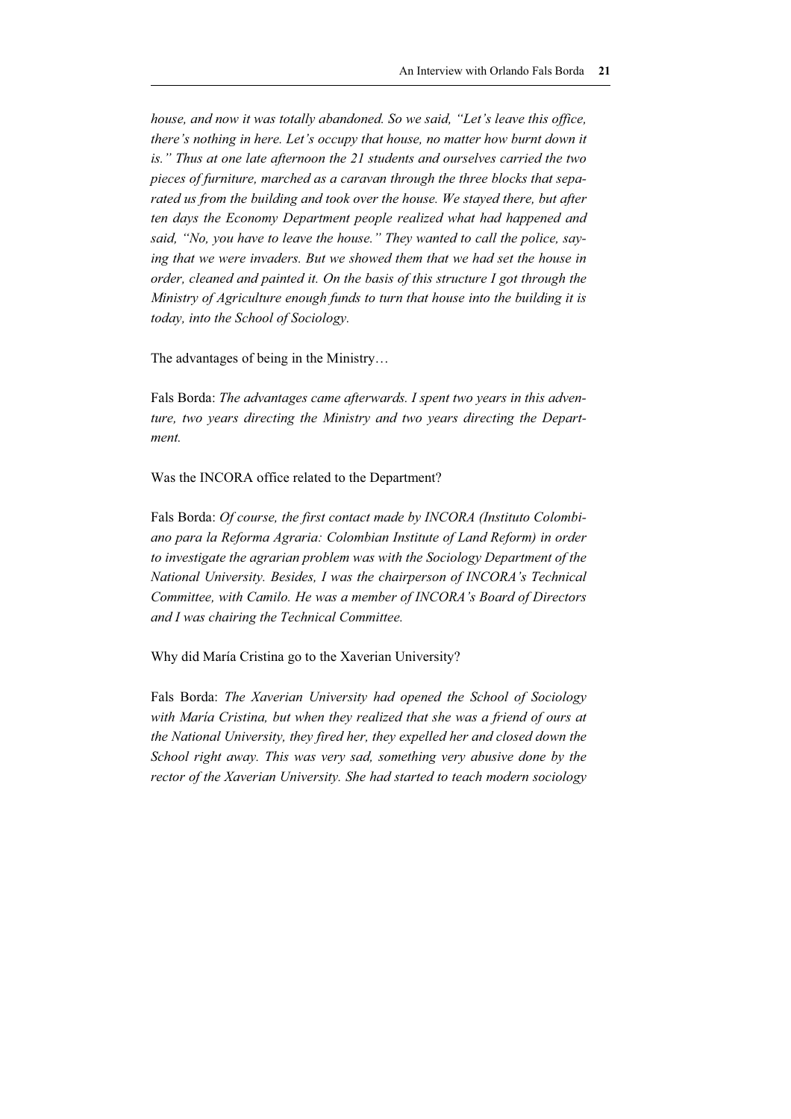*house, and now it was totally abandoned. So we said, "Let's leave this office, there's nothing in here. Let's occupy that house, no matter how burnt down it is." Thus at one late afternoon the 21 students and ourselves carried the two pieces of furniture, marched as a caravan through the three blocks that separated us from the building and took over the house. We staved there, but after ten days the Economy Department people realized what had happened and said, "No, you have to leave the house." They wanted to call the police, saying that we were invaders. But we showed them that we had set the house in order, cleaned and painted it. On the basis of this structure I got through the Ministry of Agriculture enough funds to turn that house into the building it is today, into the School of Sociology.* 

The advantages of being in the Ministry…

Fals Borda: *The advantages came afterwards. I spent two years in this adventure, two years directing the Ministry and two years directing the Department.* 

Was the INCORA office related to the Department?

Fals Borda: *Of course, the first contact made by INCORA (Instituto Colombiano para la Reforma Agraria: Colombian Institute of Land Reform) in order to investigate the agrarian problem was with the Sociology Department of the National University. Besides, I was the chairperson of INCORA's Technical Committee, with Camilo. He was a member of INCORA's Board of Directors and I was chairing the Technical Committee.* 

Why did María Cristina go to the Xaverian University?

Fals Borda: *The Xaverian University had opened the School of Sociology*  with María Cristina, but when they realized that she was a friend of ours at *the National University, they fired her, they expelled her and closed down the School right away. This was very sad, something very abusive done by the rector of the Xaverian University. She had started to teach modern sociology*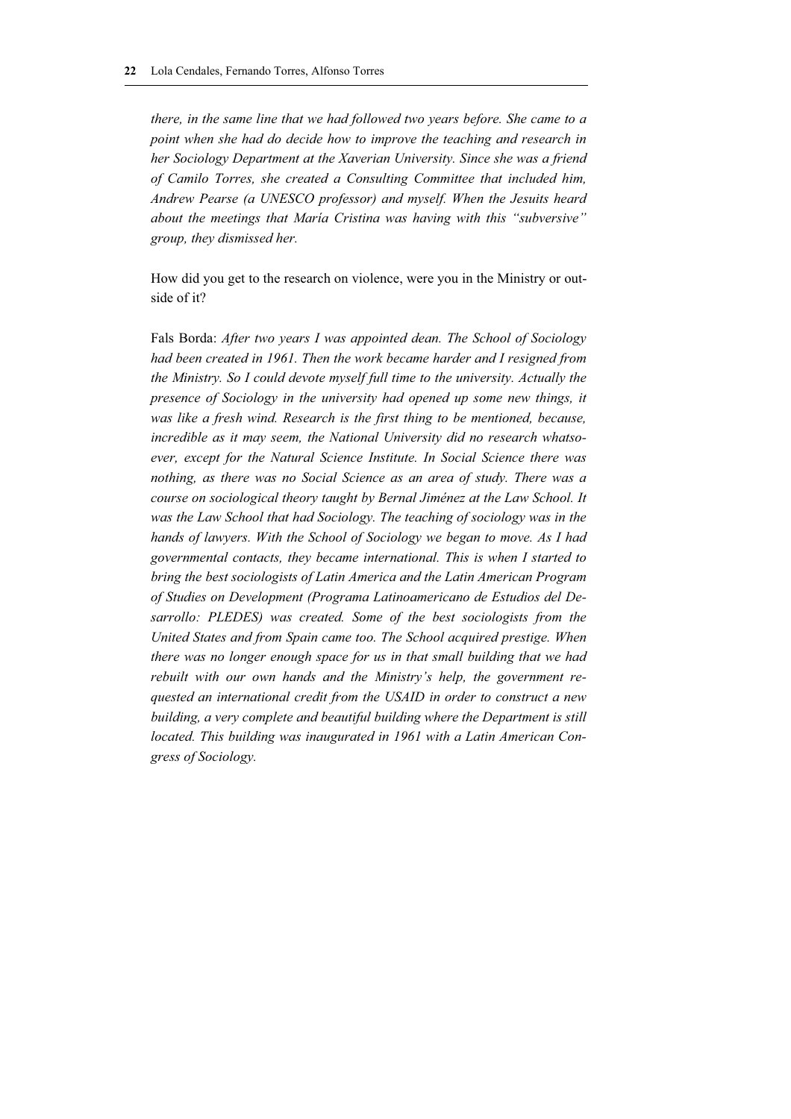*there, in the same line that we had followed two years before. She came to a point when she had do decide how to improve the teaching and research in her Sociology Department at the Xaverian University. Since she was a friend of Camilo Torres, she created a Consulting Committee that included him, Andrew Pearse (a UNESCO professor) and myself. When the Jesuits heard about the meetings that María Cristina was having with this "subversive" group, they dismissed her.* 

How did you get to the research on violence, were you in the Ministry or outside of it?

Fals Borda: *After two years I was appointed dean. The School of Sociology had been created in 1961. Then the work became harder and I resigned from the Ministry. So I could devote myself full time to the university. Actually the presence of Sociology in the university had opened up some new things, it was like a fresh wind. Research is the first thing to be mentioned, because, incredible as it may seem, the National University did no research whatsoever, except for the Natural Science Institute. In Social Science there was nothing, as there was no Social Science as an area of study. There was a course on sociological theory taught by Bernal Jiménez at the Law School. It was the Law School that had Sociology. The teaching of sociology was in the hands of lawyers. With the School of Sociology we began to move. As I had governmental contacts, they became international. This is when I started to bring the best sociologists of Latin America and the Latin American Program of Studies on Development (Programa Latinoamericano de Estudios del Desarrollo: PLEDES) was created. Some of the best sociologists from the United States and from Spain came too. The School acquired prestige. When there was no longer enough space for us in that small building that we had rebuilt with our own hands and the Ministry's help, the government requested an international credit from the USAID in order to construct a new building, a very complete and beautiful building where the Department is still located. This building was inaugurated in 1961 with a Latin American Congress of Sociology.*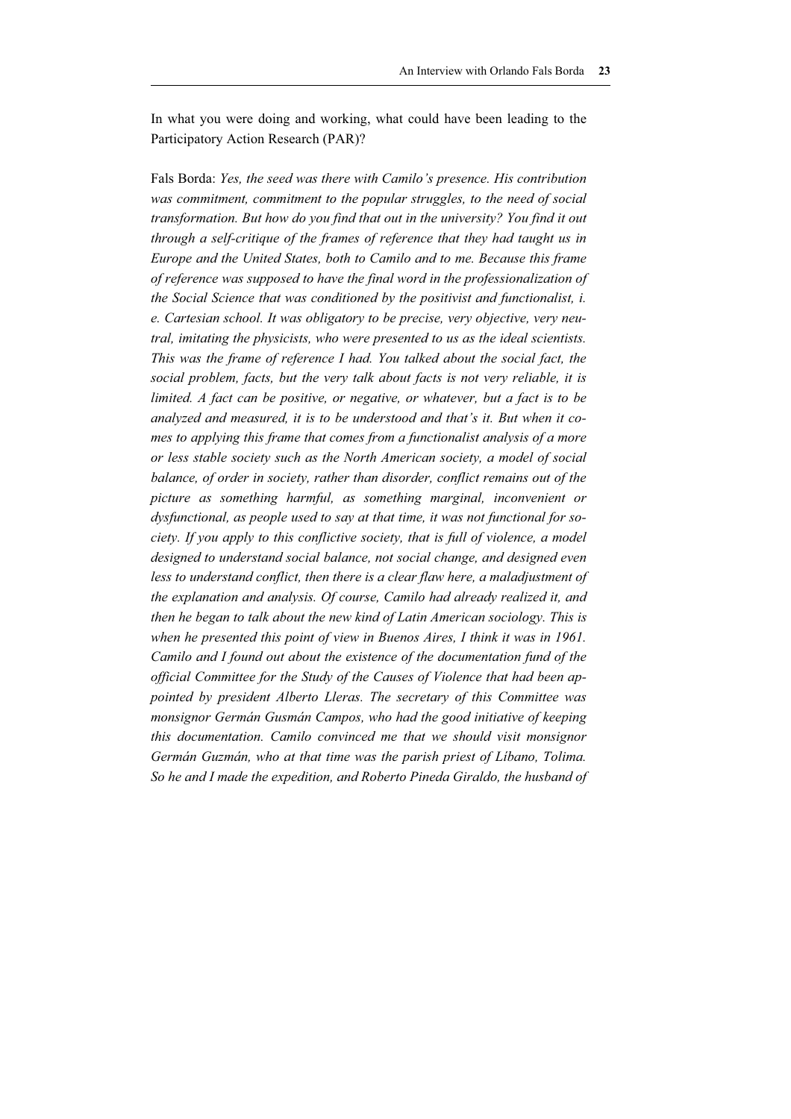In what you were doing and working, what could have been leading to the Participatory Action Research (PAR)?

Fals Borda: *Yes, the seed was there with Camilo's presence. His contribution was commitment, commitment to the popular struggles, to the need of social transformation. But how do you find that out in the university? You find it out through a self-critique of the frames of reference that they had taught us in Europe and the United States, both to Camilo and to me. Because this frame of reference was supposed to have the final word in the professionalization of the Social Science that was conditioned by the positivist and functionalist, i. e. Cartesian school. It was obligatory to be precise, very objective, very neutral, imitating the physicists, who were presented to us as the ideal scientists. This was the frame of reference I had. You talked about the social fact, the social problem, facts, but the very talk about facts is not very reliable, it is limited. A fact can be positive, or negative, or whatever, but a fact is to be analyzed and measured, it is to be understood and that's it. But when it comes to applying this frame that comes from a functionalist analysis of a more or less stable society such as the North American society, a model of social balance, of order in society, rather than disorder, conflict remains out of the picture as something harmful, as something marginal, inconvenient or dysfunctional, as people used to say at that time, it was not functional for society. If you apply to this conflictive society, that is full of violence, a model designed to understand social balance, not social change, and designed even*  less to understand conflict, then there is a clear flaw here, a maladjustment of *the explanation and analysis. Of course, Camilo had already realized it, and then he began to talk about the new kind of Latin American sociology. This is when he presented this point of view in Buenos Aires, I think it was in 1961. Camilo and I found out about the existence of the documentation fund of the official Committee for the Study of the Causes of Violence that had been appointed by president Alberto Lleras. The secretary of this Committee was monsignor Germán Gusmán Campos, who had the good initiative of keeping this documentation. Camilo convinced me that we should visit monsignor Germán Guzmán, who at that time was the parish priest of Líbano, Tolima. So he and I made the expedition, and Roberto Pineda Giraldo, the husband of*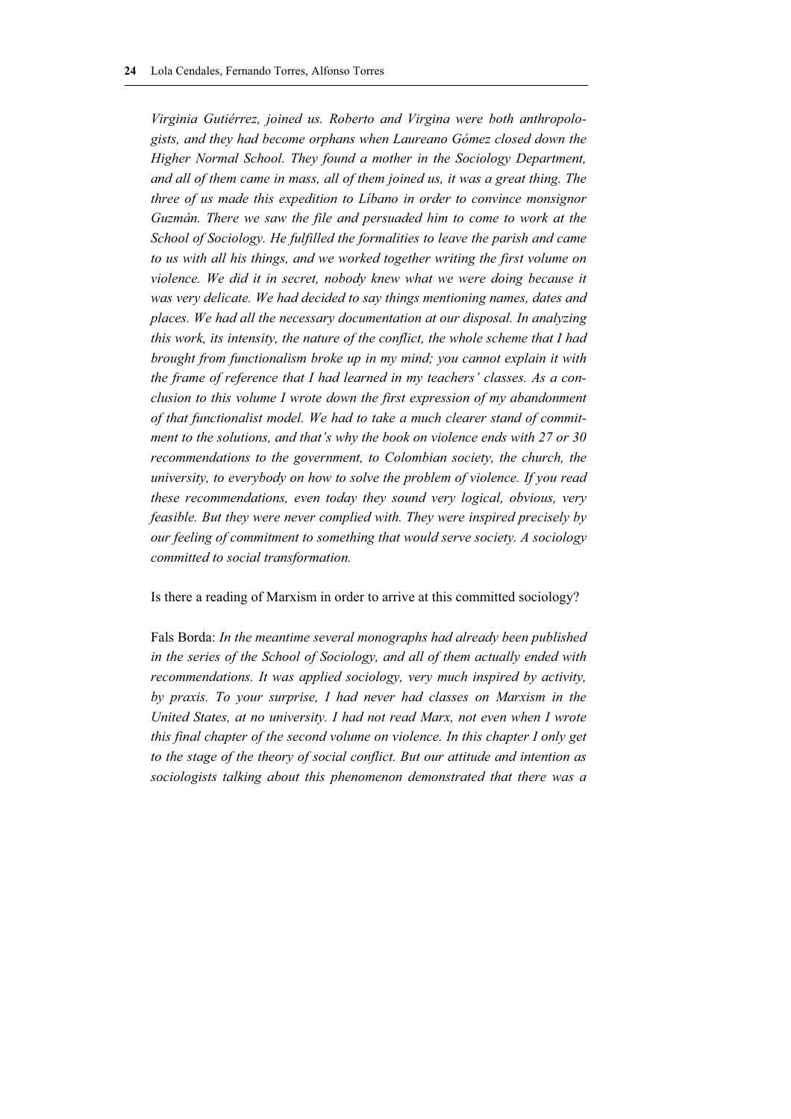*Virginia Gutiérrez, joined us. Roberto and Virgina were both anthropologists, and they had become orphans when Laureano Gómez closed down the Higher Normal School. They found a mother in the Sociology Department, and all of them came in mass, all of them joined us, it was a great thing. The three of us made this expedition to Líbano in order to convince monsignor Guzmán. There we saw the file and persuaded him to come to work at the School of Sociology. He fulfilled the formalities to leave the parish and came to us with all his things, and we worked together writing the first volume on violence. We did it in secret, nobody knew what we were doing because it was very delicate. We had decided to say things mentioning names, dates and places. We had all the necessary documentation at our disposal. In analyzing this work, its intensity, the nature of the conflict, the whole scheme that I had brought from functionalism broke up in my mind; you cannot explain it with the frame of reference that I had learned in my teachers' classes. As a conclusion to this volume I wrote down the first expression of my abandonment of that functionalist model. We had to take a much clearer stand of commitment to the solutions, and that's why the book on violence ends with 27 or 30 recommendations to the government, to Colombian society, the church, the university, to everybody on how to solve the problem of violence. If you read these recommendations, even today they sound very logical, obvious, very feasible. But they were never complied with. They were inspired precisely by our feeling of commitment to something that would serve society. A sociology committed to social transformation.* 

#### Is there a reading of Marxism in order to arrive at this committed sociology?

Fals Borda: *In the meantime several monographs had already been published in the series of the School of Sociology, and all of them actually ended with recommendations. It was applied sociology, very much inspired by activity, by praxis. To your surprise, I had never had classes on Marxism in the United States, at no university. I had not read Marx, not even when I wrote this final chapter of the second volume on violence. In this chapter I only get to the stage of the theory of social conflict. But our attitude and intention as sociologists talking about this phenomenon demonstrated that there was a*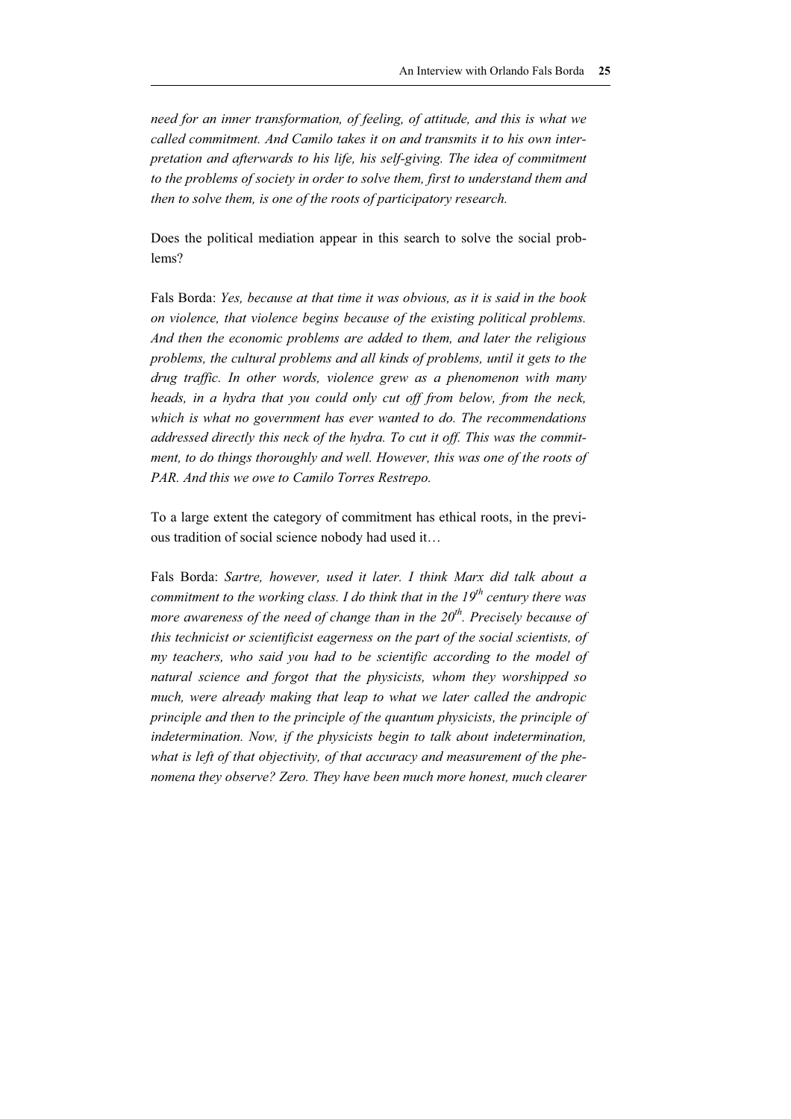*need for an inner transformation, of feeling, of attitude, and this is what we called commitment. And Camilo takes it on and transmits it to his own interpretation and afterwards to his life, his self-giving. The idea of commitment to the problems of society in order to solve them, first to understand them and then to solve them, is one of the roots of participatory research.* 

Does the political mediation appear in this search to solve the social problems?

Fals Borda: *Yes, because at that time it was obvious, as it is said in the book on violence, that violence begins because of the existing political problems. And then the economic problems are added to them, and later the religious problems, the cultural problems and all kinds of problems, until it gets to the drug traffic. In other words, violence grew as a phenomenon with many heads, in a hydra that you could only cut off from below, from the neck, which is what no government has ever wanted to do. The recommendations addressed directly this neck of the hydra. To cut it off. This was the commitment, to do things thoroughly and well. However, this was one of the roots of PAR. And this we owe to Camilo Torres Restrepo.* 

To a large extent the category of commitment has ethical roots, in the previous tradition of social science nobody had used it…

Fals Borda: *Sartre, however, used it later. I think Marx did talk about a commitment to the working class. I do think that in the 19th century there was more awareness of the need of change than in the 20th. Precisely because of this technicist or scientificist eagerness on the part of the social scientists, of my teachers, who said you had to be scientific according to the model of natural science and forgot that the physicists, whom they worshipped so much, were already making that leap to what we later called the andropic principle and then to the principle of the quantum physicists, the principle of indetermination. Now, if the physicists begin to talk about indetermination, what is left of that objectivity, of that accuracy and measurement of the phenomena they observe? Zero. They have been much more honest, much clearer*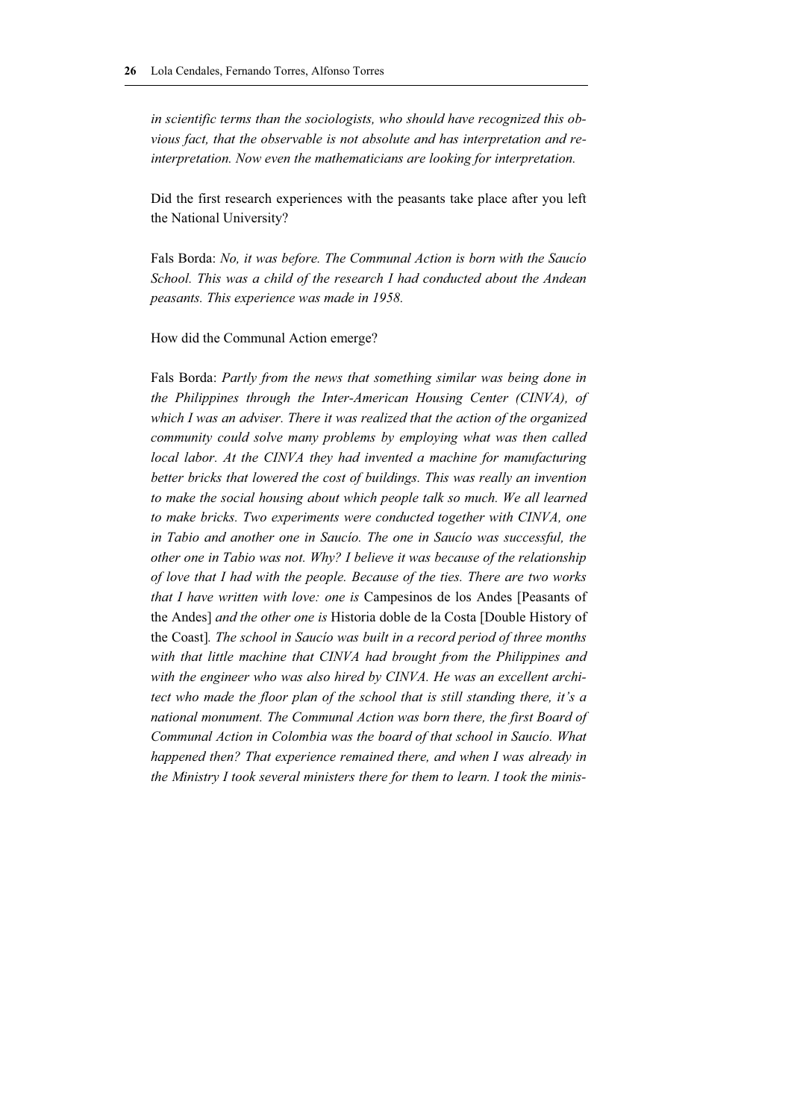*in scientific terms than the sociologists, who should have recognized this obvious fact, that the observable is not absolute and has interpretation and reinterpretation. Now even the mathematicians are looking for interpretation.* 

Did the first research experiences with the peasants take place after you left the National University?

Fals Borda: *No, it was before. The Communal Action is born with the Saucío School. This was a child of the research I had conducted about the Andean peasants. This experience was made in 1958.* 

How did the Communal Action emerge?

Fals Borda: *Partly from the news that something similar was being done in the Philippines through the Inter-American Housing Center (CINVA), of which I was an adviser. There it was realized that the action of the organized community could solve many problems by employing what was then called local labor. At the CINVA they had invented a machine for manufacturing better bricks that lowered the cost of buildings. This was really an invention*  to make the social housing about which people talk so much. We all learned *to make bricks. Two experiments were conducted together with CINVA, one in Tabio and another one in Saucío. The one in Saucío was successful, the other one in Tabio was not. Why? I believe it was because of the relationship of love that I had with the people. Because of the ties. There are two works that I have written with love: one is* Campesinos de los Andes [Peasants of the Andes] *and the other one is* Historia doble de la Costa [Double History of the Coast]*. The school in Saucío was built in a record period of three months with that little machine that CINVA had brought from the Philippines and with the engineer who was also hired by CINVA. He was an excellent architect who made the floor plan of the school that is still standing there, it's a national monument. The Communal Action was born there, the first Board of Communal Action in Colombia was the board of that school in Saucío. What happened then? That experience remained there, and when I was already in the Ministry I took several ministers there for them to learn. I took the minis-*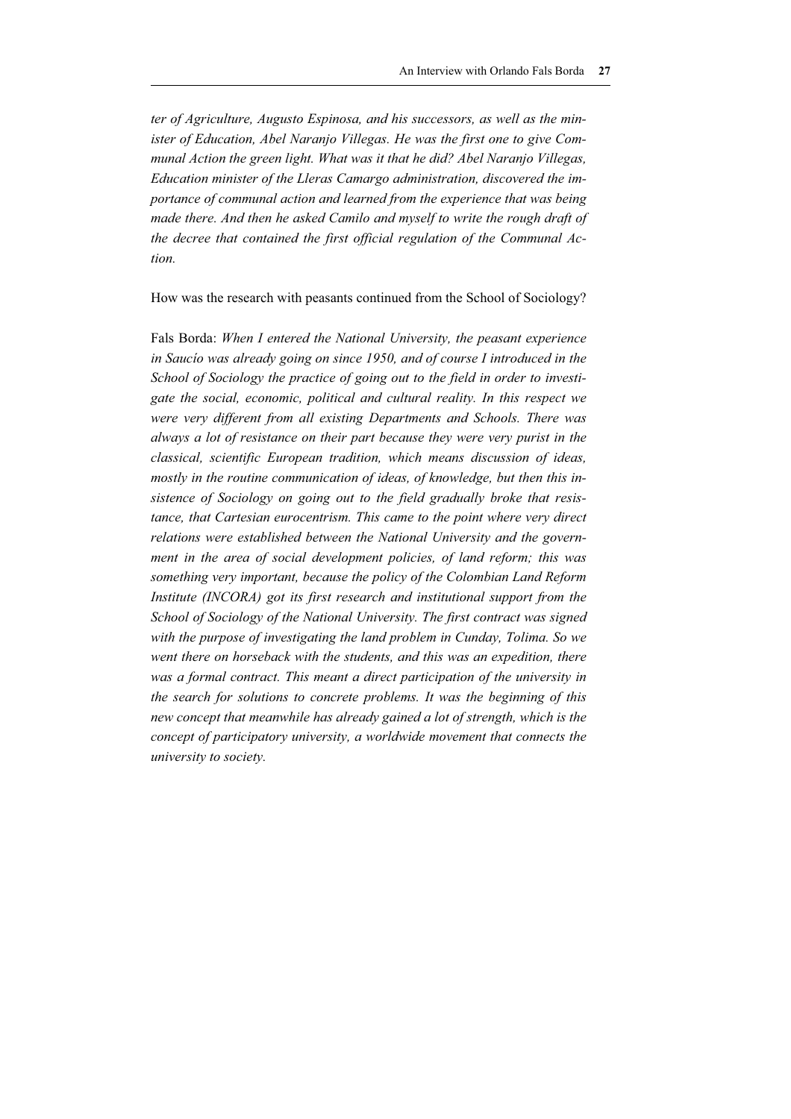*ter of Agriculture, Augusto Espinosa, and his successors, as well as the minister of Education, Abel Naranjo Villegas. He was the first one to give Communal Action the green light. What was it that he did? Abel Naranjo Villegas, Education minister of the Lleras Camargo administration, discovered the importance of communal action and learned from the experience that was being made there. And then he asked Camilo and myself to write the rough draft of the decree that contained the first official regulation of the Communal Action.*

How was the research with peasants continued from the School of Sociology?

Fals Borda: *When I entered the National University, the peasant experience in Saucío was already going on since 1950, and of course I introduced in the School of Sociology the practice of going out to the field in order to investigate the social, economic, political and cultural reality. In this respect we were very different from all existing Departments and Schools. There was always a lot of resistance on their part because they were very purist in the classical, scientific European tradition, which means discussion of ideas, mostly in the routine communication of ideas, of knowledge, but then this insistence of Sociology on going out to the field gradually broke that resistance, that Cartesian eurocentrism. This came to the point where very direct relations were established between the National University and the government in the area of social development policies, of land reform; this was something very important, because the policy of the Colombian Land Reform Institute (INCORA) got its first research and institutional support from the School of Sociology of the National University. The first contract was signed with the purpose of investigating the land problem in Cunday, Tolima. So we went there on horseback with the students, and this was an expedition, there*  was a formal contract. This meant a direct participation of the university in *the search for solutions to concrete problems. It was the beginning of this new concept that meanwhile has already gained a lot of strength, which is the concept of participatory university, a worldwide movement that connects the university to society.*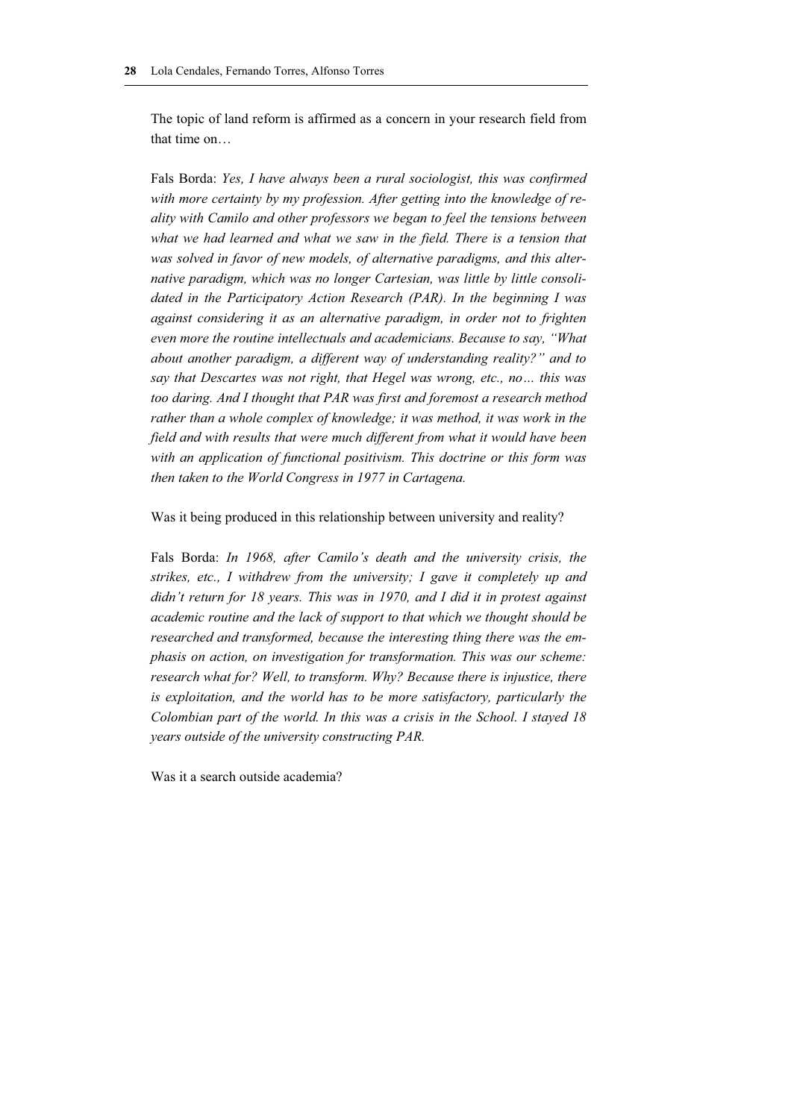The topic of land reform is affirmed as a concern in your research field from that time on…

Fals Borda: *Yes, I have always been a rural sociologist, this was confirmed with more certainty by my profession. After getting into the knowledge of reality with Camilo and other professors we began to feel the tensions between*  what we had learned and what we saw in the field. There is a tension that *was solved in favor of new models, of alternative paradigms, and this alternative paradigm, which was no longer Cartesian, was little by little consolidated in the Participatory Action Research (PAR). In the beginning I was against considering it as an alternative paradigm, in order not to frighten even more the routine intellectuals and academicians. Because to say, "What about another paradigm, a different way of understanding reality?" and to say that Descartes was not right, that Hegel was wrong, etc., no… this was too daring. And I thought that PAR was first and foremost a research method rather than a whole complex of knowledge; it was method, it was work in the field and with results that were much different from what it would have been with an application of functional positivism. This doctrine or this form was then taken to the World Congress in 1977 in Cartagena.* 

#### Was it being produced in this relationship between university and reality?

Fals Borda: *In 1968, after Camilo's death and the university crisis, the strikes, etc., I withdrew from the university; I gave it completely up and didn't return for 18 years. This was in 1970, and I did it in protest against academic routine and the lack of support to that which we thought should be researched and transformed, because the interesting thing there was the emphasis on action, on investigation for transformation. This was our scheme: research what for? Well, to transform. Why? Because there is injustice, there is exploitation, and the world has to be more satisfactory, particularly the Colombian part of the world. In this was a crisis in the School. I stayed 18 years outside of the university constructing PAR.* 

Was it a search outside academia?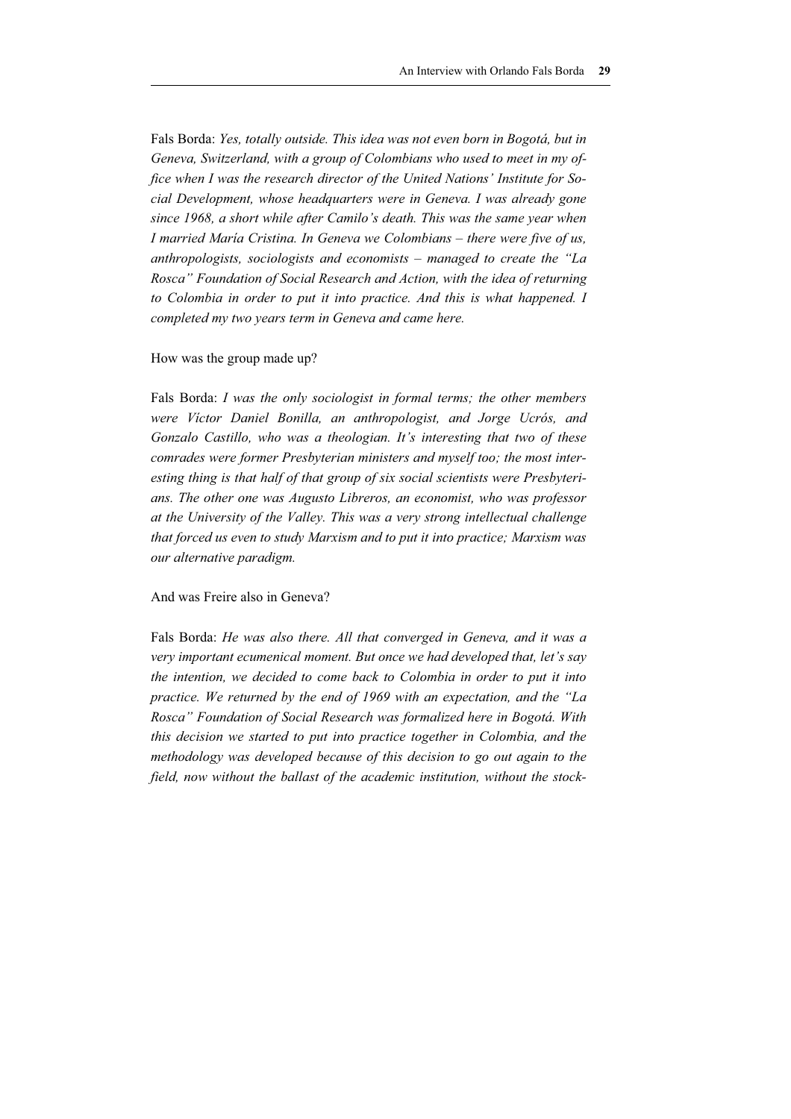Fals Borda: *Yes, totally outside. This idea was not even born in Bogotá, but in Geneva, Switzerland, with a group of Colombians who used to meet in my office when I was the research director of the United Nations' Institute for Social Development, whose headquarters were in Geneva. I was already gone since 1968, a short while after Camilo's death. This was the same year when I married María Cristina. In Geneva we Colombians – there were five of us, anthropologists, sociologists and economists – managed to create the "La Rosca" Foundation of Social Research and Action, with the idea of returning to Colombia in order to put it into practice. And this is what happened. I completed my two years term in Geneva and came here.* 

#### How was the group made up?

Fals Borda: *I was the only sociologist in formal terms; the other members were Víctor Daniel Bonilla, an anthropologist, and Jorge Ucrós, and Gonzalo Castillo, who was a theologian. It's interesting that two of these comrades were former Presbyterian ministers and myself too; the most interesting thing is that half of that group of six social scientists were Presbyterians. The other one was Augusto Libreros, an economist, who was professor at the University of the Valley. This was a very strong intellectual challenge that forced us even to study Marxism and to put it into practice; Marxism was our alternative paradigm.* 

#### And was Freire also in Geneva?

Fals Borda: *He was also there. All that converged in Geneva, and it was a very important ecumenical moment. But once we had developed that, let's say the intention, we decided to come back to Colombia in order to put it into practice. We returned by the end of 1969 with an expectation, and the "La Rosca" Foundation of Social Research was formalized here in Bogotá. With this decision we started to put into practice together in Colombia, and the methodology was developed because of this decision to go out again to the field, now without the ballast of the academic institution, without the stock-*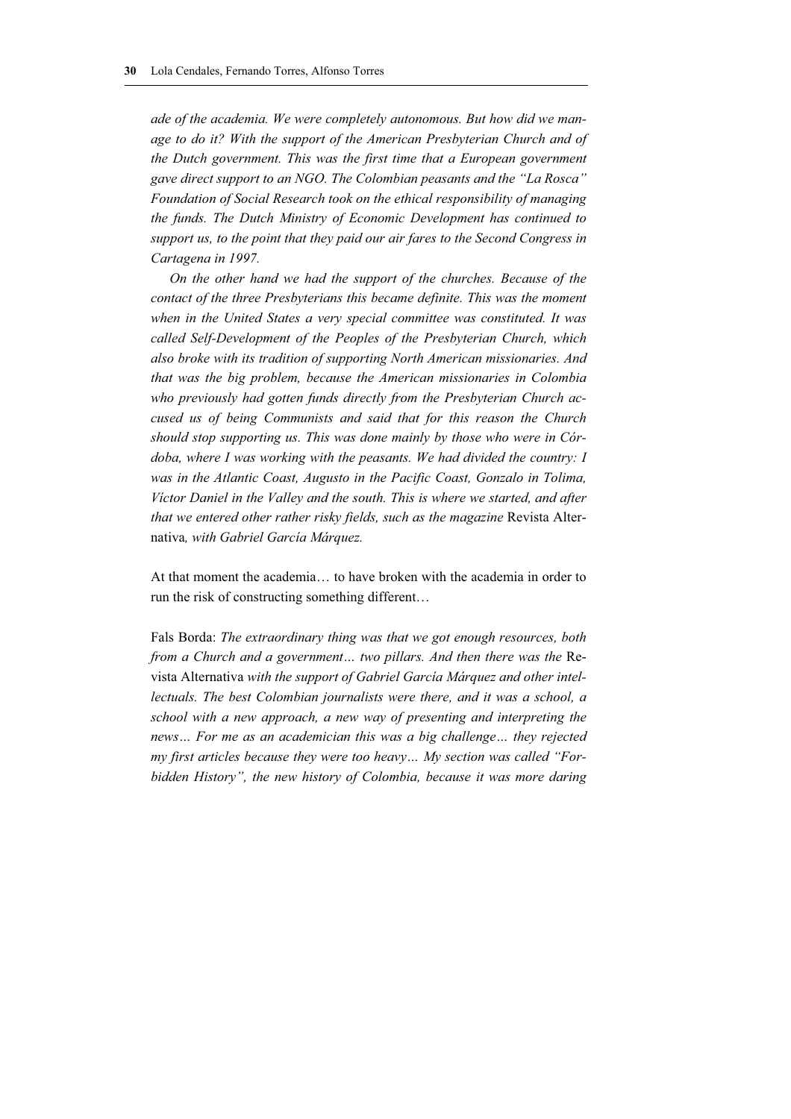*ade of the academia. We were completely autonomous. But how did we manage to do it? With the support of the American Presbyterian Church and of the Dutch government. This was the first time that a European government gave direct support to an NGO. The Colombian peasants and the "La Rosca" Foundation of Social Research took on the ethical responsibility of managing the funds. The Dutch Ministry of Economic Development has continued to support us, to the point that they paid our air fares to the Second Congress in Cartagena in 1997.* 

*On the other hand we had the support of the churches. Because of the contact of the three Presbyterians this became definite. This was the moment when in the United States a very special committee was constituted. It was called Self-Development of the Peoples of the Presbyterian Church, which also broke with its tradition of supporting North American missionaries. And that was the big problem, because the American missionaries in Colombia who previously had gotten funds directly from the Presbyterian Church accused us of being Communists and said that for this reason the Church should stop supporting us. This was done mainly by those who were in Córdoba, where I was working with the peasants. We had divided the country: I was in the Atlantic Coast, Augusto in the Pacific Coast, Gonzalo in Tolima, Víctor Daniel in the Valley and the south. This is where we started, and after that we entered other rather risky fields, such as the magazine* Revista Alternativa*, with Gabriel García Márquez.* 

At that moment the academia… to have broken with the academia in order to run the risk of constructing something different…

Fals Borda: *The extraordinary thing was that we got enough resources, both from a Church and a government... two pillars. And then there was the Re*vista Alternativa *with the support of Gabriel García Márquez and other intellectuals. The best Colombian journalists were there, and it was a school, a school with a new approach, a new way of presenting and interpreting the news… For me as an academician this was a big challenge… they rejected my first articles because they were too heavy… My section was called "Forbidden History", the new history of Colombia, because it was more daring*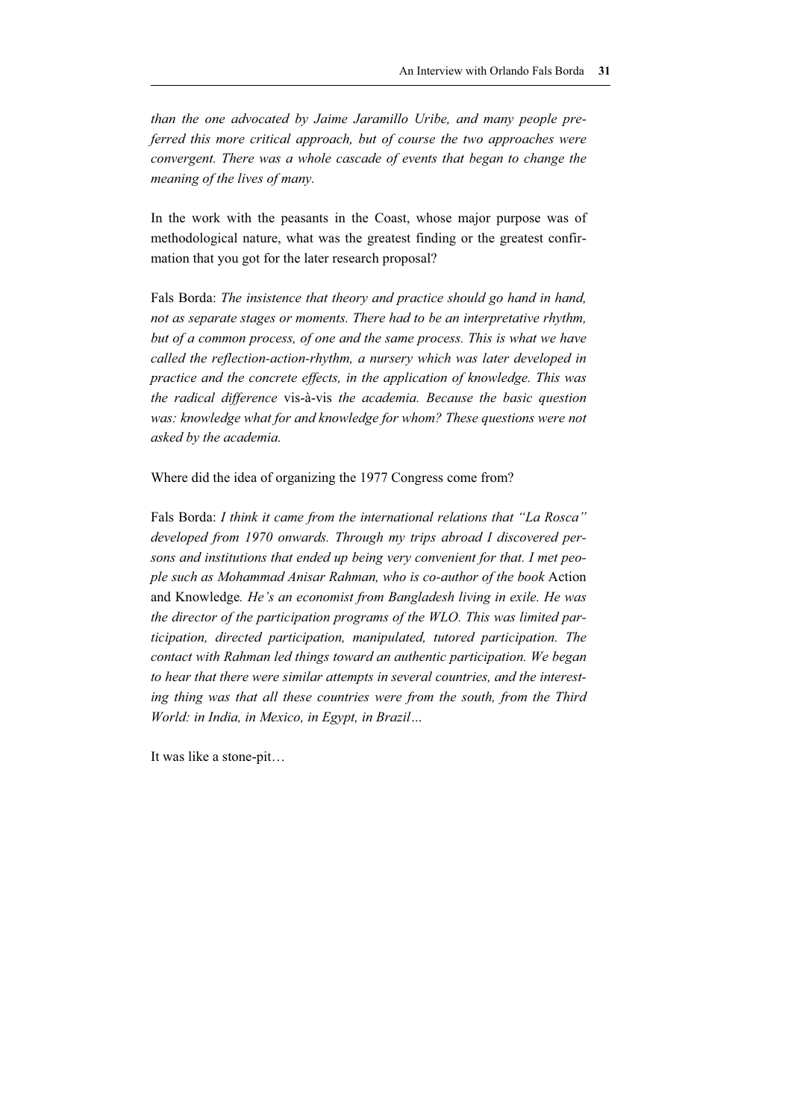*than the one advocated by Jaime Jaramillo Uribe, and many people preferred this more critical approach, but of course the two approaches were convergent. There was a whole cascade of events that began to change the meaning of the lives of many.* 

In the work with the peasants in the Coast, whose major purpose was of methodological nature, what was the greatest finding or the greatest confirmation that you got for the later research proposal?

Fals Borda: *The insistence that theory and practice should go hand in hand, not as separate stages or moments. There had to be an interpretative rhythm, but of a common process, of one and the same process. This is what we have called the reflection-action-rhythm, a nursery which was later developed in practice and the concrete effects, in the application of knowledge. This was the radical difference* vis-à-vis *the academia. Because the basic question was: knowledge what for and knowledge for whom? These questions were not asked by the academia.* 

Where did the idea of organizing the 1977 Congress come from?

Fals Borda: *I think it came from the international relations that "La Rosca" developed from 1970 onwards. Through my trips abroad I discovered persons and institutions that ended up being very convenient for that. I met people such as Mohammad Anisar Rahman, who is co-author of the book* Action and Knowledge*. He's an economist from Bangladesh living in exile. He was the director of the participation programs of the WLO. This was limited participation, directed participation, manipulated, tutored participation. The contact with Rahman led things toward an authentic participation. We began to hear that there were similar attempts in several countries, and the interest*ing thing was that all these countries were from the south, from the Third *World: in India, in Mexico, in Egypt, in Brazil…* 

It was like a stone-pit…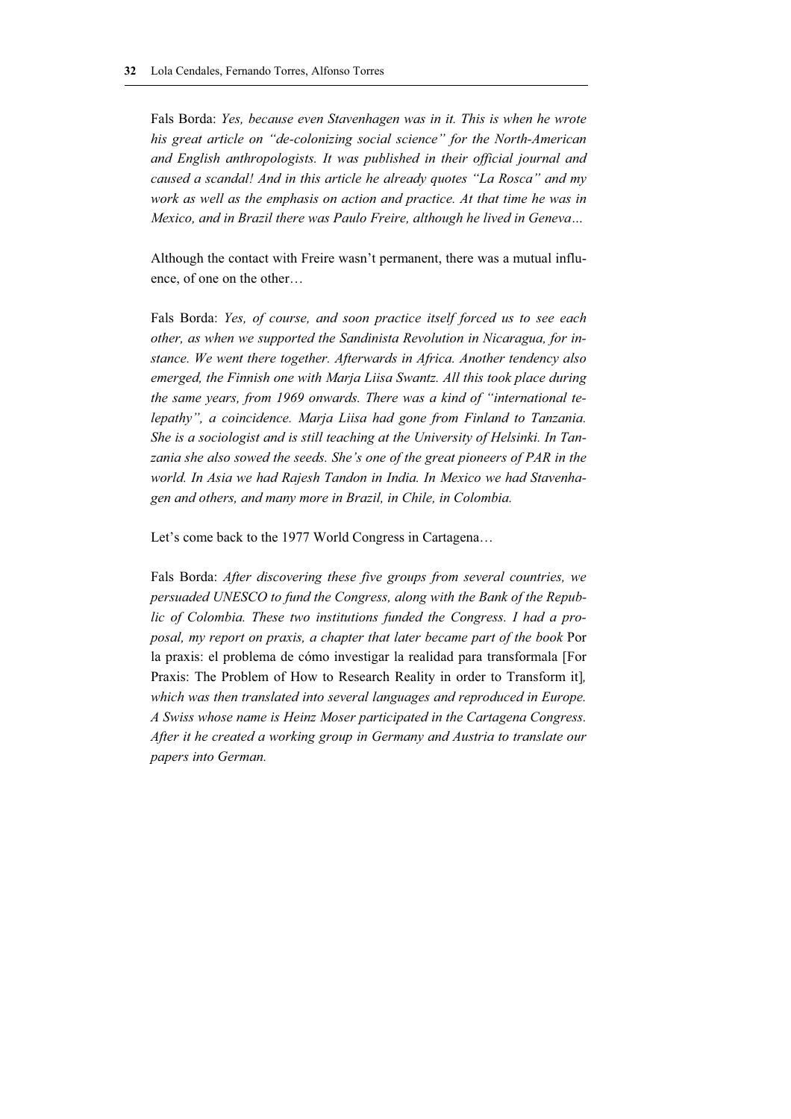Fals Borda: *Yes, because even Stavenhagen was in it. This is when he wrote his great article on "de-colonizing social science" for the North-American and English anthropologists. It was published in their official journal and caused a scandal! And in this article he already quotes "La Rosca" and my work as well as the emphasis on action and practice. At that time he was in Mexico, and in Brazil there was Paulo Freire, although he lived in Geneva…* 

Although the contact with Freire wasn't permanent, there was a mutual influence, of one on the other…

Fals Borda: *Yes, of course, and soon practice itself forced us to see each other, as when we supported the Sandinista Revolution in Nicaragua, for instance. We went there together. Afterwards in Africa. Another tendency also emerged, the Finnish one with Marja Liisa Swantz. All this took place during the same years, from 1969 onwards. There was a kind of "international telepathy", a coincidence. Marja Liisa had gone from Finland to Tanzania. She is a sociologist and is still teaching at the University of Helsinki. In Tan*zania she also sowed the seeds. She's one of the great pioneers of PAR in the *world. In Asia we had Rajesh Tandon in India. In Mexico we had Stavenhagen and others, and many more in Brazil, in Chile, in Colombia.* 

Let's come back to the 1977 World Congress in Cartagena…

Fals Borda: *After discovering these five groups from several countries, we persuaded UNESCO to fund the Congress, along with the Bank of the Republic of Colombia. These two institutions funded the Congress. I had a proposal, my report on praxis, a chapter that later became part of the book* Por la praxis: el problema de cómo investigar la realidad para transformala [For Praxis: The Problem of How to Research Reality in order to Transform it]*,* which was then translated into several languages and reproduced in Europe. *A Swiss whose name is Heinz Moser participated in the Cartagena Congress. After it he created a working group in Germany and Austria to translate our papers into German.*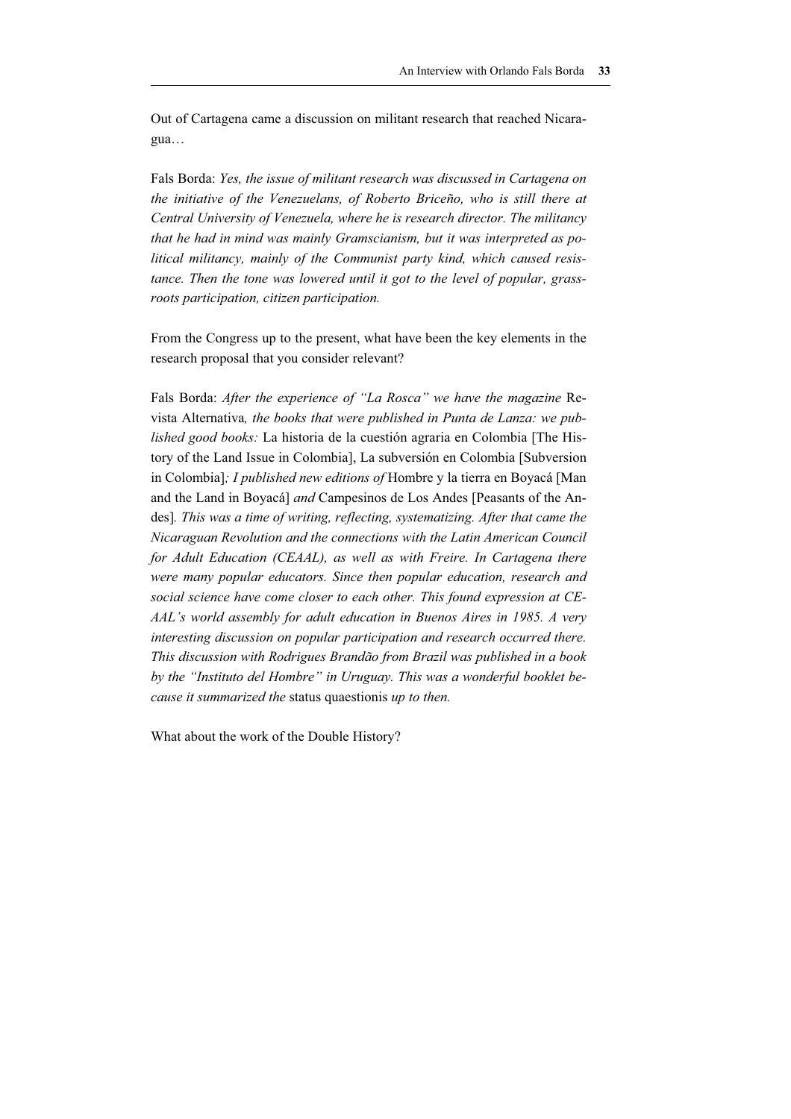Out of Cartagena came a discussion on militant research that reached Nicaragua…

Fals Borda: *Yes, the issue of militant research was discussed in Cartagena on the initiative of the Venezuelans, of Roberto Briceño, who is still there at Central University of Venezuela, where he is research director. The militancy that he had in mind was mainly Gramscianism, but it was interpreted as political militancy, mainly of the Communist party kind, which caused resistance. Then the tone was lowered until it got to the level of popular, grassroots participation, citizen participation.* 

From the Congress up to the present, what have been the key elements in the research proposal that you consider relevant?

Fals Borda: *After the experience of "La Rosca" we have the magazine* Revista Alternativa*, the books that were published in Punta de Lanza: we published good books:* La historia de la cuestión agraria en Colombia [The History of the Land Issue in Colombia], La subversión en Colombia [Subversion in Colombia]*; I published new editions of* Hombre y la tierra en Boyacá [Man and the Land in Boyacá] *and* Campesinos de Los Andes [Peasants of the Andes]*. This was a time of writing, reflecting, systematizing. After that came the Nicaraguan Revolution and the connections with the Latin American Council for Adult Education (CEAAL), as well as with Freire. In Cartagena there were many popular educators. Since then popular education, research and social science have come closer to each other. This found expression at CE-AAL's world assembly for adult education in Buenos Aires in 1985. A very interesting discussion on popular participation and research occurred there. This discussion with Rodrigues Brandão from Brazil was published in a book by the "Instituto del Hombre" in Uruguay. This was a wonderful booklet because it summarized the* status quaestionis *up to then.* 

What about the work of the Double History?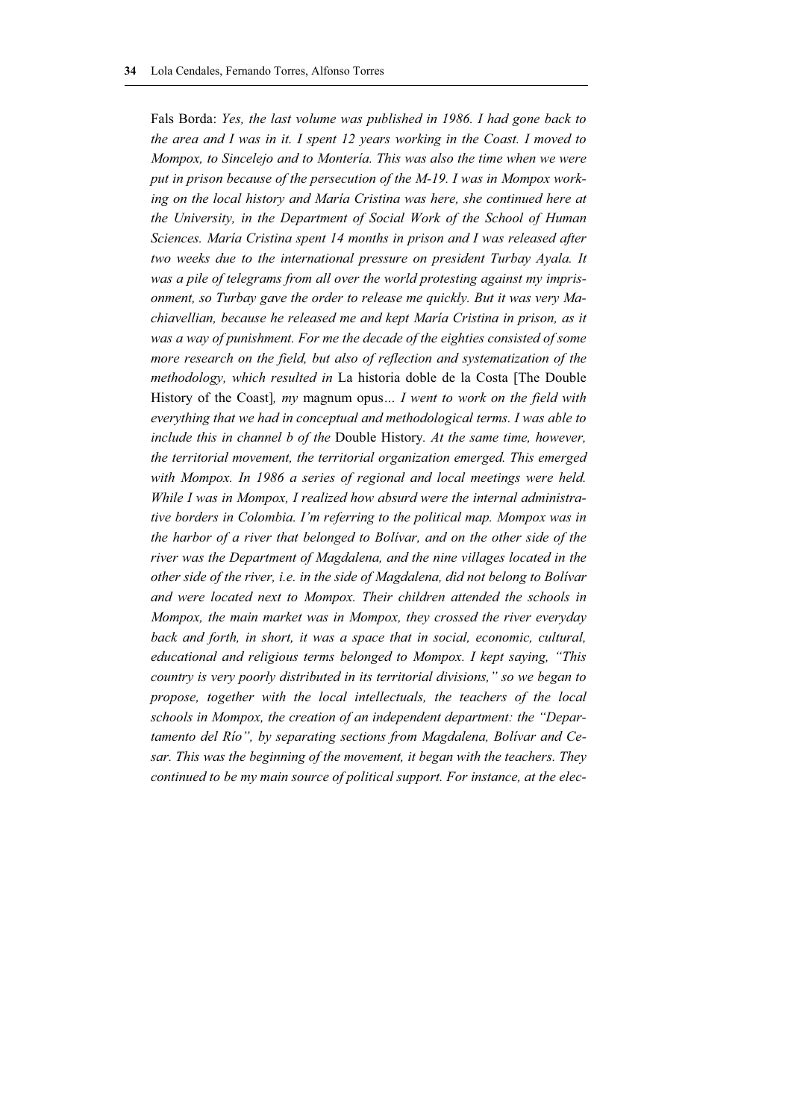Fals Borda: *Yes, the last volume was published in 1986. I had gone back to the area and I was in it. I spent 12 years working in the Coast. I moved to Mompox, to Sincelejo and to Montería. This was also the time when we were put in prison because of the persecution of the M-19. I was in Mompox work*ing on the local history and María Cristina was here, she continued here at *the University, in the Department of Social Work of the School of Human Sciences. María Cristina spent 14 months in prison and I was released after two weeks due to the international pressure on president Turbay Ayala. It was a pile of telegrams from all over the world protesting against my imprisonment, so Turbay gave the order to release me quickly. But it was very Machiavellian, because he released me and kept María Cristina in prison, as it was a way of punishment. For me the decade of the eighties consisted of some more research on the field, but also of reflection and systematization of the methodology, which resulted in* La historia doble de la Costa [The Double History of the Coast]*, my* magnum opus*… I went to work on the field with everything that we had in conceptual and methodological terms. I was able to include this in channel b of the* Double History*. At the same time, however, the territorial movement, the territorial organization emerged. This emerged with Mompox. In 1986 a series of regional and local meetings were held. While I was in Mompox, I realized how absurd were the internal administrative borders in Colombia. I'm referring to the political map. Mompox was in the harbor of a river that belonged to Bolívar, and on the other side of the river was the Department of Magdalena, and the nine villages located in the other side of the river, i.e. in the side of Magdalena, did not belong to Bolívar and were located next to Mompox. Their children attended the schools in Mompox, the main market was in Mompox, they crossed the river everyday back and forth, in short, it was a space that in social, economic, cultural, educational and religious terms belonged to Mompox. I kept saying, "This country is very poorly distributed in its territorial divisions," so we began to propose, together with the local intellectuals, the teachers of the local schools in Mompox, the creation of an independent department: the "Departamento del Río", by separating sections from Magdalena, Bolívar and Cesar. This was the beginning of the movement, it began with the teachers. They continued to be my main source of political support. For instance, at the elec-*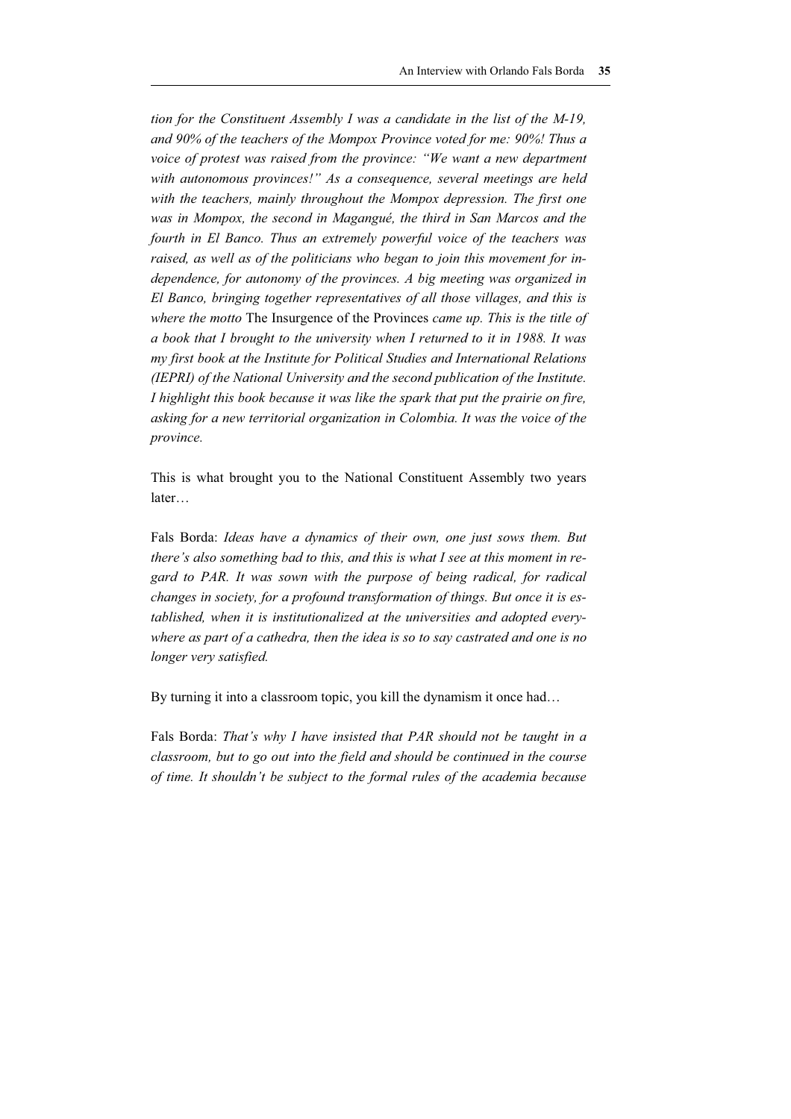*tion for the Constituent Assembly I was a candidate in the list of the M-19, and 90% of the teachers of the Mompox Province voted for me: 90%! Thus a voice of protest was raised from the province: "We want a new department with autonomous provinces!" As a consequence, several meetings are held with the teachers, mainly throughout the Mompox depression. The first one was in Mompox, the second in Magangué, the third in San Marcos and the fourth in El Banco. Thus an extremely powerful voice of the teachers was raised, as well as of the politicians who began to join this movement for independence, for autonomy of the provinces. A big meeting was organized in El Banco, bringing together representatives of all those villages, and this is where the motto* The Insurgence of the Provinces *came up. This is the title of a book that I brought to the university when I returned to it in 1988. It was my first book at the Institute for Political Studies and International Relations (IEPRI) of the National University and the second publication of the Institute. I highlight this book because it was like the spark that put the prairie on fire, asking for a new territorial organization in Colombia. It was the voice of the province.*

This is what brought you to the National Constituent Assembly two years later…

Fals Borda: *Ideas have a dynamics of their own, one just sows them. But there's also something bad to this, and this is what I see at this moment in regard to PAR. It was sown with the purpose of being radical, for radical changes in society, for a profound transformation of things. But once it is established, when it is institutionalized at the universities and adopted everywhere as part of a cathedra, then the idea is so to say castrated and one is no longer very satisfied.* 

By turning it into a classroom topic, you kill the dynamism it once had…

Fals Borda: *That's why I have insisted that PAR should not be taught in a classroom, but to go out into the field and should be continued in the course of time. It shouldn't be subject to the formal rules of the academia because*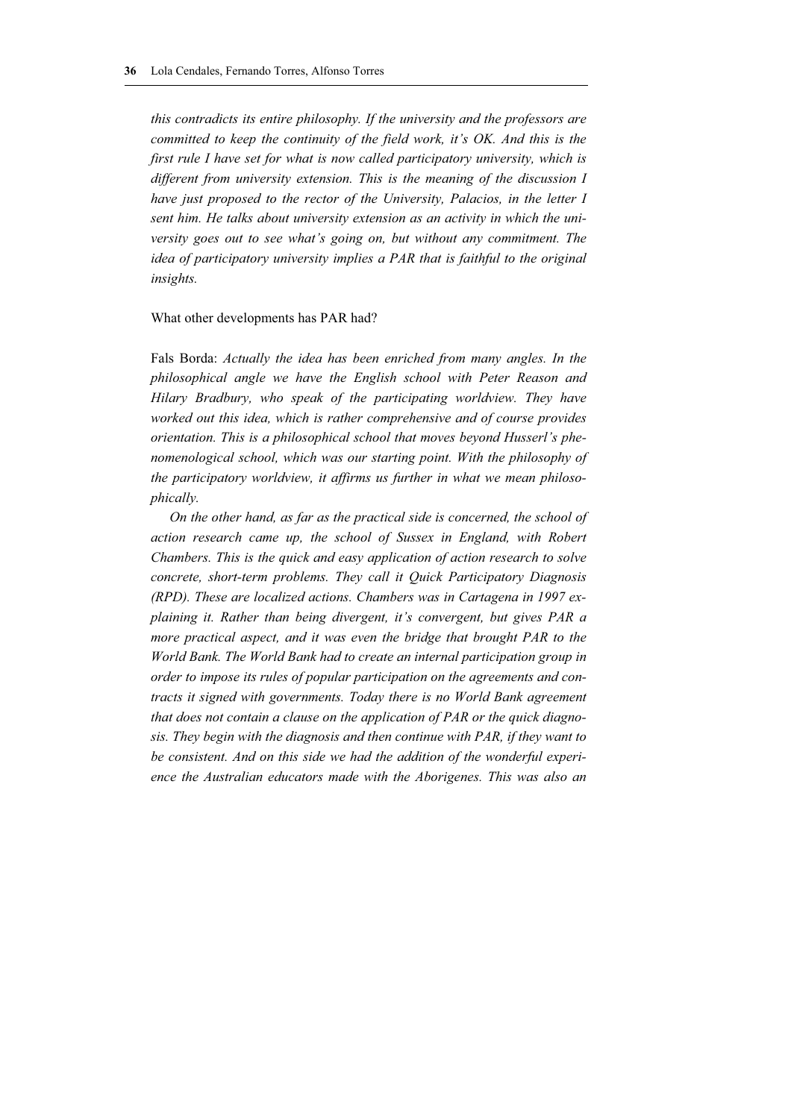*this contradicts its entire philosophy. If the university and the professors are committed to keep the continuity of the field work, it's OK. And this is the first rule I have set for what is now called participatory university, which is different from university extension. This is the meaning of the discussion I have just proposed to the rector of the University, Palacios, in the letter I sent him. He talks about university extension as an activity in which the university goes out to see what's going on, but without any commitment. The idea of participatory university implies a PAR that is faithful to the original insights.*

#### What other developments has PAR had?

Fals Borda: *Actually the idea has been enriched from many angles. In the philosophical angle we have the English school with Peter Reason and Hilary Bradbury, who speak of the participating worldview. They have worked out this idea, which is rather comprehensive and of course provides orientation. This is a philosophical school that moves beyond Husserl's phenomenological school, which was our starting point. With the philosophy of the participatory worldview, it affirms us further in what we mean philosophically.*

*On the other hand, as far as the practical side is concerned, the school of action research came up, the school of Sussex in England, with Robert Chambers. This is the quick and easy application of action research to solve concrete, short-term problems. They call it Quick Participatory Diagnosis (RPD). These are localized actions. Chambers was in Cartagena in 1997 explaining it. Rather than being divergent, it's convergent, but gives PAR a more practical aspect, and it was even the bridge that brought PAR to the World Bank. The World Bank had to create an internal participation group in order to impose its rules of popular participation on the agreements and contracts it signed with governments. Today there is no World Bank agreement that does not contain a clause on the application of PAR or the quick diagnosis. They begin with the diagnosis and then continue with PAR, if they want to be consistent. And on this side we had the addition of the wonderful experience the Australian educators made with the Aborigenes. This was also an*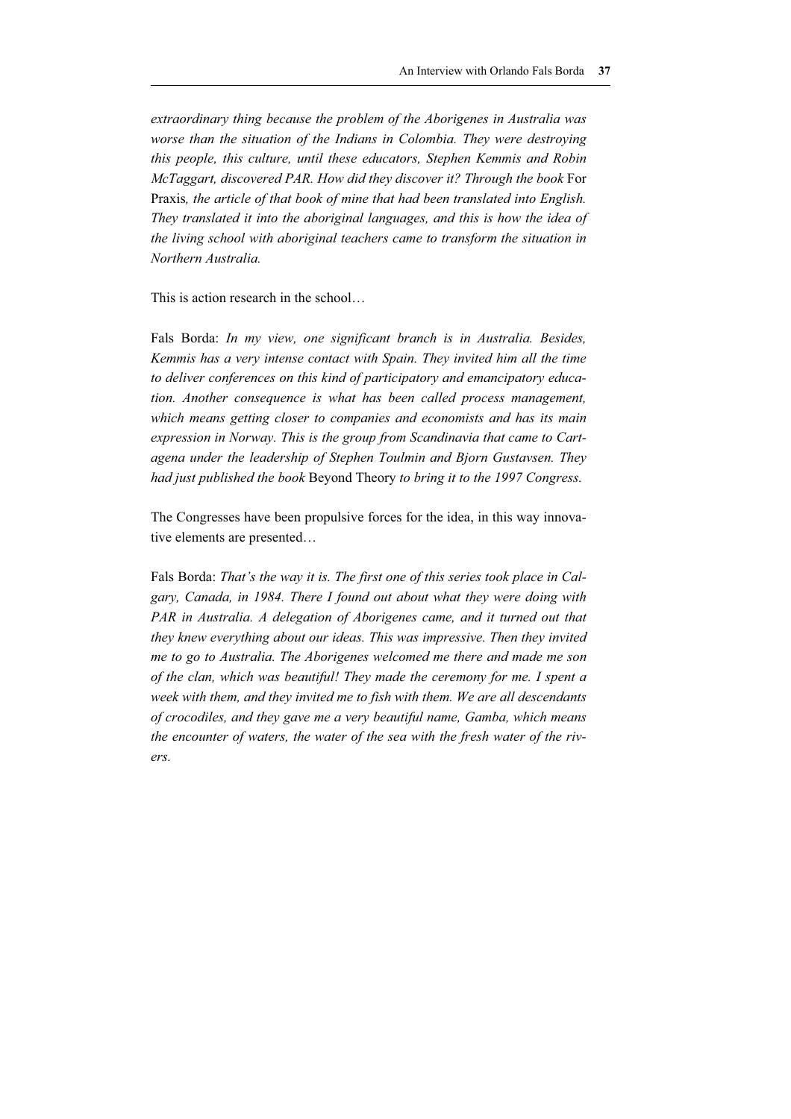*extraordinary thing because the problem of the Aborigenes in Australia was worse than the situation of the Indians in Colombia. They were destroying this people, this culture, until these educators, Stephen Kemmis and Robin McTaggart, discovered PAR. How did they discover it? Through the book* For Praxis*, the article of that book of mine that had been translated into English. They translated it into the aboriginal languages, and this is how the idea of the living school with aboriginal teachers came to transform the situation in Northern Australia.* 

This is action research in the school…

Fals Borda: *In my view, one significant branch is in Australia. Besides, Kemmis has a very intense contact with Spain. They invited him all the time to deliver conferences on this kind of participatory and emancipatory education. Another consequence is what has been called process management, which means getting closer to companies and economists and has its main expression in Norway. This is the group from Scandinavia that came to Cartagena under the leadership of Stephen Toulmin and Bjorn Gustavsen. They had just published the book* Beyond Theory *to bring it to the 1997 Congress.* 

The Congresses have been propulsive forces for the idea, in this way innovative elements are presented…

Fals Borda: *That's the way it is. The first one of this series took place in Calgary, Canada, in 1984. There I found out about what they were doing with PAR in Australia. A delegation of Aborigenes came, and it turned out that they knew everything about our ideas. This was impressive. Then they invited me to go to Australia. The Aborigenes welcomed me there and made me son of the clan, which was beautiful! They made the ceremony for me. I spent a week with them, and they invited me to fish with them. We are all descendants of crocodiles, and they gave me a very beautiful name, Gamba, which means the encounter of waters, the water of the sea with the fresh water of the rivers.*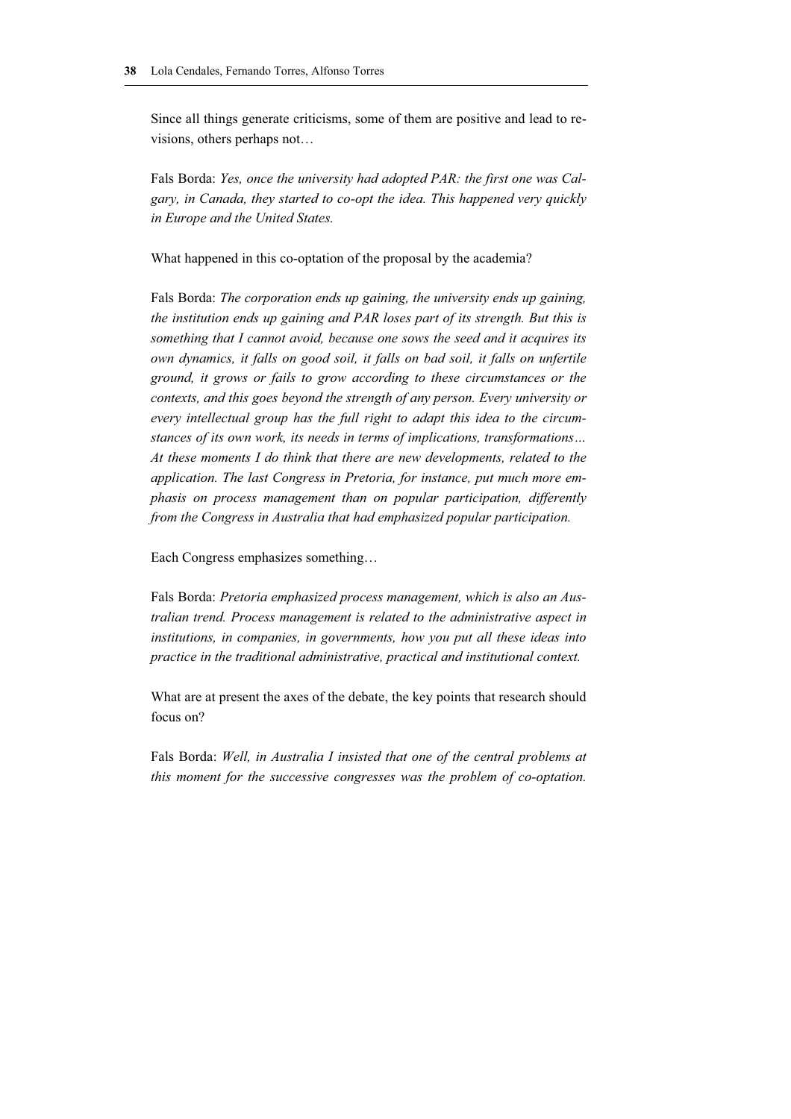Since all things generate criticisms, some of them are positive and lead to revisions, others perhaps not…

Fals Borda: *Yes, once the university had adopted PAR: the first one was Calgary, in Canada, they started to co-opt the idea. This happened very quickly in Europe and the United States.* 

What happened in this co-optation of the proposal by the academia?

Fals Borda: *The corporation ends up gaining, the university ends up gaining, the institution ends up gaining and PAR loses part of its strength. But this is something that I cannot avoid, because one sows the seed and it acquires its own dynamics, it falls on good soil, it falls on bad soil, it falls on unfertile ground, it grows or fails to grow according to these circumstances or the contexts, and this goes beyond the strength of any person. Every university or every intellectual group has the full right to adapt this idea to the circumstances of its own work, its needs in terms of implications, transformations… At these moments I do think that there are new developments, related to the application. The last Congress in Pretoria, for instance, put much more emphasis on process management than on popular participation, differently from the Congress in Australia that had emphasized popular participation.* 

Each Congress emphasizes something…

Fals Borda: *Pretoria emphasized process management, which is also an Australian trend. Process management is related to the administrative aspect in institutions, in companies, in governments, how you put all these ideas into practice in the traditional administrative, practical and institutional context.* 

What are at present the axes of the debate, the key points that research should focus on?

Fals Borda: *Well, in Australia I insisted that one of the central problems at this moment for the successive congresses was the problem of co-optation.*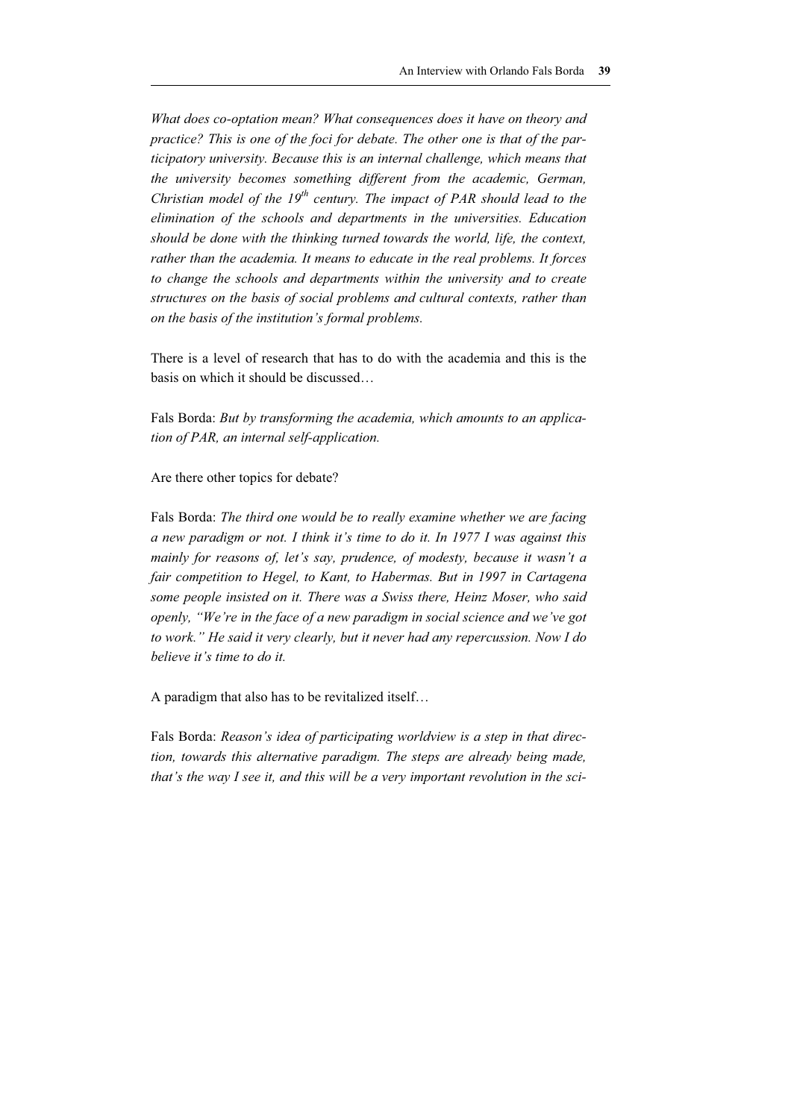*What does co-optation mean? What consequences does it have on theory and practice? This is one of the foci for debate. The other one is that of the participatory university. Because this is an internal challenge, which means that the university becomes something different from the academic, German, Christian model of the 19th century. The impact of PAR should lead to the elimination of the schools and departments in the universities. Education should be done with the thinking turned towards the world, life, the context, rather than the academia. It means to educate in the real problems. It forces to change the schools and departments within the university and to create structures on the basis of social problems and cultural contexts, rather than on the basis of the institution's formal problems.* 

There is a level of research that has to do with the academia and this is the basis on which it should be discussed…

Fals Borda: *But by transforming the academia, which amounts to an application of PAR, an internal self-application.* 

Are there other topics for debate?

Fals Borda: *The third one would be to really examine whether we are facing a new paradigm or not. I think it's time to do it. In 1977 I was against this mainly for reasons of, let's say, prudence, of modesty, because it wasn't a fair competition to Hegel, to Kant, to Habermas. But in 1997 in Cartagena some people insisted on it. There was a Swiss there, Heinz Moser, who said openly, "We're in the face of a new paradigm in social science and we've got to work." He said it very clearly, but it never had any repercussion. Now I do believe it's time to do it.* 

A paradigm that also has to be revitalized itself…

Fals Borda: *Reason's idea of participating worldview is a step in that direction, towards this alternative paradigm. The steps are already being made, that's the way I see it, and this will be a very important revolution in the sci-*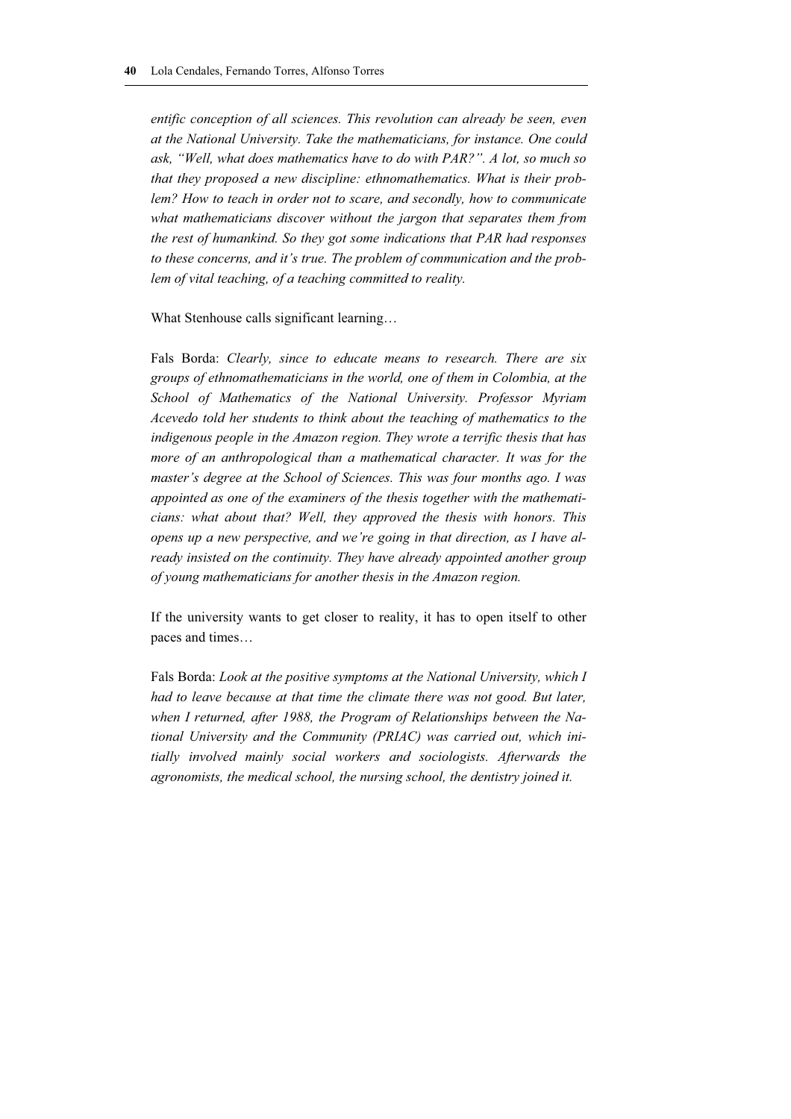*entific conception of all sciences. This revolution can already be seen, even at the National University. Take the mathematicians, for instance. One could ask, "Well, what does mathematics have to do with PAR?". A lot, so much so that they proposed a new discipline: ethnomathematics. What is their problem? How to teach in order not to scare, and secondly, how to communicate what mathematicians discover without the jargon that separates them from the rest of humankind. So they got some indications that PAR had responses to these concerns, and it's true. The problem of communication and the problem of vital teaching, of a teaching committed to reality.* 

What Stenhouse calls significant learning…

Fals Borda: *Clearly, since to educate means to research. There are six groups of ethnomathematicians in the world, one of them in Colombia, at the School of Mathematics of the National University. Professor Myriam Acevedo told her students to think about the teaching of mathematics to the indigenous people in the Amazon region. They wrote a terrific thesis that has more of an anthropological than a mathematical character. It was for the master's degree at the School of Sciences. This was four months ago. I was appointed as one of the examiners of the thesis together with the mathematicians: what about that? Well, they approved the thesis with honors. This opens up a new perspective, and we're going in that direction, as I have already insisted on the continuity. They have already appointed another group of young mathematicians for another thesis in the Amazon region.* 

If the university wants to get closer to reality, it has to open itself to other paces and times…

Fals Borda: *Look at the positive symptoms at the National University, which I had to leave because at that time the climate there was not good. But later, when I returned, after 1988, the Program of Relationships between the National University and the Community (PRIAC) was carried out, which initially involved mainly social workers and sociologists. Afterwards the agronomists, the medical school, the nursing school, the dentistry joined it.*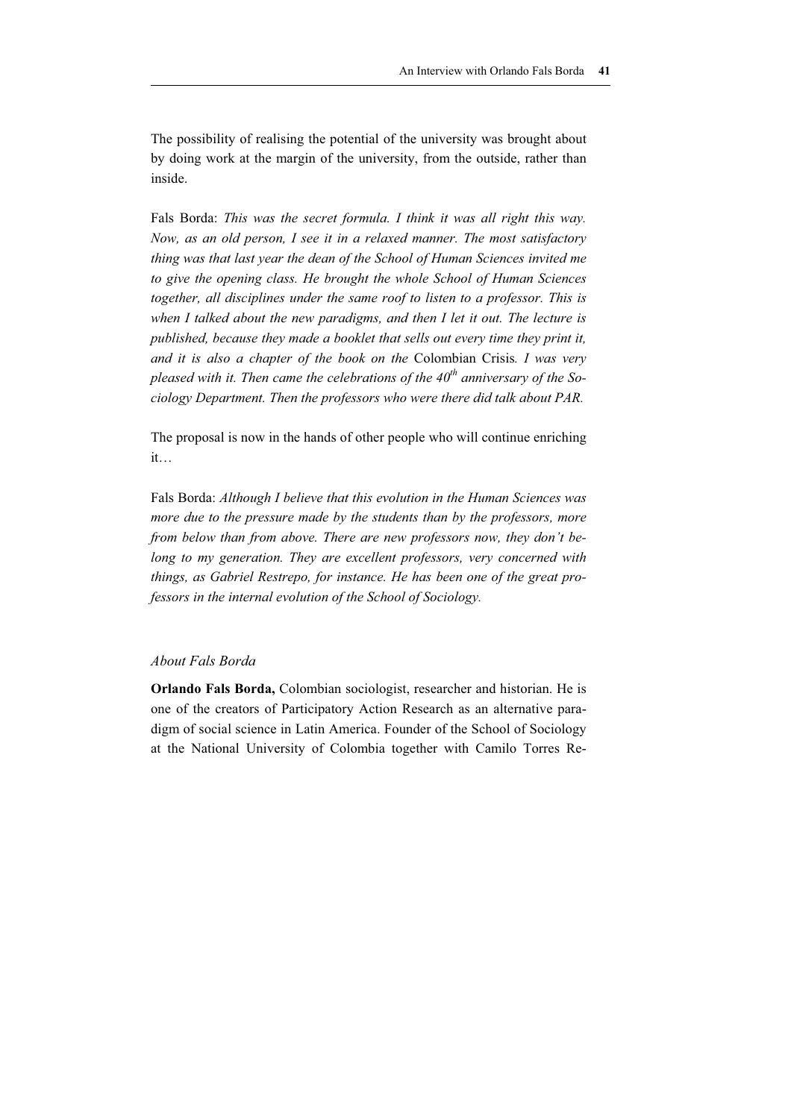The possibility of realising the potential of the university was brought about by doing work at the margin of the university, from the outside, rather than inside.

Fals Borda: *This was the secret formula. I think it was all right this way. Now, as an old person, I see it in a relaxed manner. The most satisfactory thing was that last year the dean of the School of Human Sciences invited me to give the opening class. He brought the whole School of Human Sciences*  together, all disciplines under the same roof to listen to a professor. This is *when I talked about the new paradigms, and then I let it out. The lecture is published, because they made a booklet that sells out every time they print it, and it is also a chapter of the book on the* Colombian Crisis*. I was very pleased with it. Then came the celebrations of the 40<sup>th</sup> anniversary of the Sociology Department. Then the professors who were there did talk about PAR.* 

The proposal is now in the hands of other people who will continue enriching it…

Fals Borda: *Although I believe that this evolution in the Human Sciences was more due to the pressure made by the students than by the professors, more from below than from above. There are new professors now, they don't belong to my generation. They are excellent professors, very concerned with things, as Gabriel Restrepo, for instance. He has been one of the great professors in the internal evolution of the School of Sociology.* 

#### *About Fals Borda*

**Orlando Fals Borda,** Colombian sociologist, researcher and historian. He is one of the creators of Participatory Action Research as an alternative paradigm of social science in Latin America. Founder of the School of Sociology at the National University of Colombia together with Camilo Torres Re